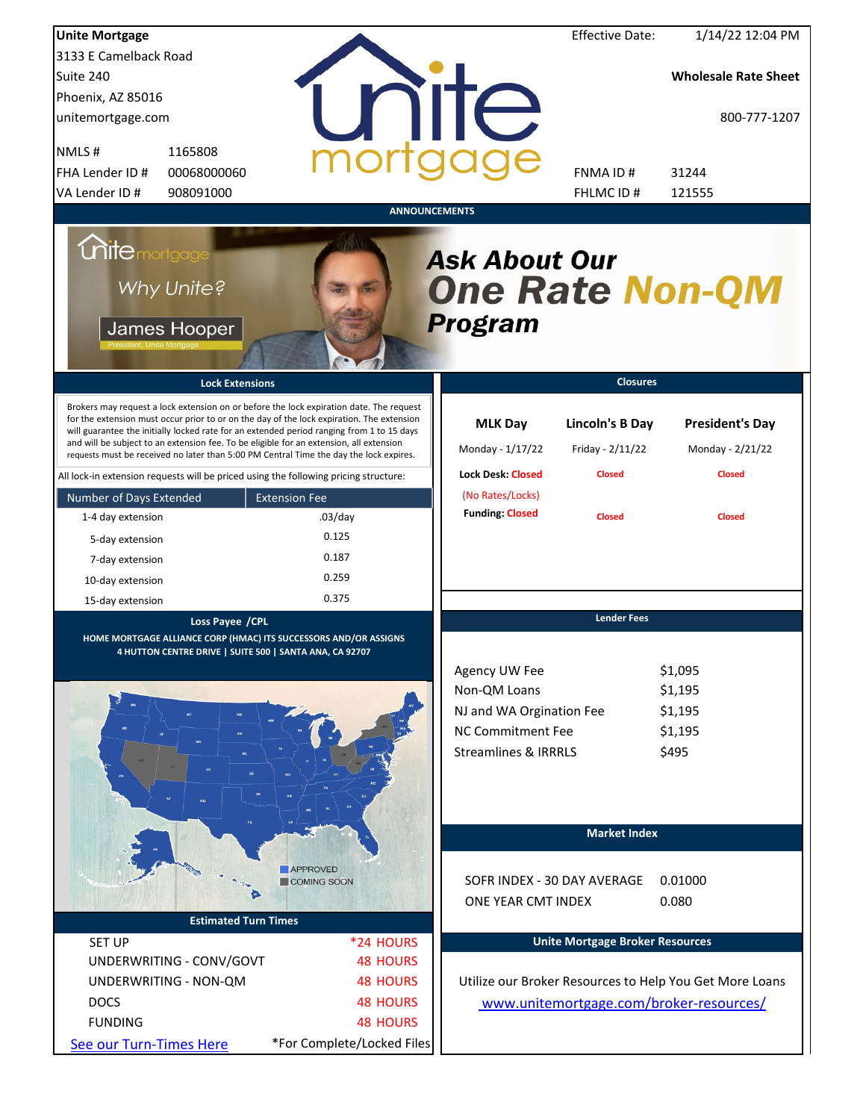| <b>Unite Mortgage</b>                                                                                                                                                                                                                                                                                                                                                                                                                                                  |                              |                                                                  | <b>Effective Date:</b>                     | 1/14/22 12:04 PM                                        |
|------------------------------------------------------------------------------------------------------------------------------------------------------------------------------------------------------------------------------------------------------------------------------------------------------------------------------------------------------------------------------------------------------------------------------------------------------------------------|------------------------------|------------------------------------------------------------------|--------------------------------------------|---------------------------------------------------------|
| 3133 E Camelback Road                                                                                                                                                                                                                                                                                                                                                                                                                                                  |                              |                                                                  |                                            |                                                         |
| Suite 240                                                                                                                                                                                                                                                                                                                                                                                                                                                              |                              |                                                                  |                                            | <b>Wholesale Rate Sheet</b>                             |
| Phoenix, AZ 85016                                                                                                                                                                                                                                                                                                                                                                                                                                                      |                              |                                                                  |                                            |                                                         |
| unitemortgage.com                                                                                                                                                                                                                                                                                                                                                                                                                                                      |                              | <b>TITE</b>                                                      |                                            | 800-777-1207                                            |
| NMLS#<br>1165808                                                                                                                                                                                                                                                                                                                                                                                                                                                       |                              |                                                                  |                                            |                                                         |
| FHA Lender ID #<br>00068000060                                                                                                                                                                                                                                                                                                                                                                                                                                         |                              |                                                                  | <b>FNMAID#</b>                             | 31244                                                   |
| VA Lender ID #<br>908091000                                                                                                                                                                                                                                                                                                                                                                                                                                            |                              |                                                                  | FHLMC ID #                                 | 121555                                                  |
|                                                                                                                                                                                                                                                                                                                                                                                                                                                                        |                              | <b>ANNOUNCEMENTS</b>                                             |                                            |                                                         |
| <b>Chite</b> mortgage<br>Why Unite?<br>James Hooper                                                                                                                                                                                                                                                                                                                                                                                                                    |                              | <b>Ask About Our</b><br><b>One Rate Non-QM</b><br><b>Program</b> |                                            |                                                         |
| <b>Lock Extensions</b>                                                                                                                                                                                                                                                                                                                                                                                                                                                 |                              |                                                                  | <b>Closures</b>                            |                                                         |
| Brokers may request a lock extension on or before the lock expiration date. The request<br>for the extension must occur prior to or on the day of the lock expiration. The extension<br>will guarantee the initially locked rate for an extended period ranging from 1 to 15 days<br>and will be subject to an extension fee. To be eligible for an extension, all extension<br>requests must be received no later than 5:00 PM Central Time the day the lock expires. |                              | <b>MLK Day</b><br>Monday - 1/17/22                               | <b>Lincoln's B Day</b><br>Friday - 2/11/22 | <b>President's Day</b><br>Monday - 2/21/22              |
| All lock-in extension requests will be priced using the following pricing structure:                                                                                                                                                                                                                                                                                                                                                                                   |                              | <b>Lock Desk: Closed</b>                                         | <b>Closed</b>                              | <b>Closed</b>                                           |
| Number of Days Extended                                                                                                                                                                                                                                                                                                                                                                                                                                                | <b>Extension Fee</b>         | (No Rates/Locks)                                                 |                                            |                                                         |
| 1-4 day extension                                                                                                                                                                                                                                                                                                                                                                                                                                                      | $.03$ /day                   | <b>Funding: Closed</b>                                           | <b>Closed</b>                              | <b>Closed</b>                                           |
| 5-day extension                                                                                                                                                                                                                                                                                                                                                                                                                                                        | 0.125                        |                                                                  |                                            |                                                         |
| 7-day extension                                                                                                                                                                                                                                                                                                                                                                                                                                                        | 0.187                        |                                                                  |                                            |                                                         |
| 10-day extension                                                                                                                                                                                                                                                                                                                                                                                                                                                       | 0.259                        |                                                                  |                                            |                                                         |
| 15-day extension                                                                                                                                                                                                                                                                                                                                                                                                                                                       | 0.375                        |                                                                  |                                            |                                                         |
| Loss Payee / CPL<br>HOME MORTGAGE ALLIANCE CORP (HMAC) ITS SUCCESSORS AND/OR ASSIGNS<br>4 HUTTON CENTRE DRIVE   SUITE 500   SANTA ANA, CA 92707                                                                                                                                                                                                                                                                                                                        |                              |                                                                  | <b>Lender Fees</b>                         |                                                         |
|                                                                                                                                                                                                                                                                                                                                                                                                                                                                        |                              | Agency UW Fee                                                    |                                            | \$1,095                                                 |
|                                                                                                                                                                                                                                                                                                                                                                                                                                                                        |                              | Non-QM Loans                                                     |                                            | \$1,195                                                 |
|                                                                                                                                                                                                                                                                                                                                                                                                                                                                        |                              | NJ and WA Orgination Fee                                         |                                            | \$1,195                                                 |
| 80                                                                                                                                                                                                                                                                                                                                                                                                                                                                     |                              | <b>NC Commitment Fee</b>                                         |                                            | \$1,195                                                 |
|                                                                                                                                                                                                                                                                                                                                                                                                                                                                        |                              | <b>Streamlines &amp; IRRRLS</b>                                  |                                            | \$495                                                   |
|                                                                                                                                                                                                                                                                                                                                                                                                                                                                        |                              |                                                                  | <b>Market Index</b>                        |                                                         |
|                                                                                                                                                                                                                                                                                                                                                                                                                                                                        | APPROVED<br>COMING SOON      |                                                                  |                                            |                                                         |
|                                                                                                                                                                                                                                                                                                                                                                                                                                                                        |                              |                                                                  | SOFR INDEX - 30 DAY AVERAGE                | 0.01000                                                 |
| <b>Estimated Turn Times</b>                                                                                                                                                                                                                                                                                                                                                                                                                                            |                              | ONE YEAR CMT INDEX                                               |                                            | 0.080                                                   |
|                                                                                                                                                                                                                                                                                                                                                                                                                                                                        |                              |                                                                  |                                            |                                                         |
| <b>SET UP</b>                                                                                                                                                                                                                                                                                                                                                                                                                                                          | *24 HOURS<br><b>48 HOURS</b> |                                                                  | <b>Unite Mortgage Broker Resources</b>     |                                                         |
| UNDERWRITING - CONV/GOVT                                                                                                                                                                                                                                                                                                                                                                                                                                               |                              |                                                                  |                                            |                                                         |
| UNDERWRITING - NON-QM                                                                                                                                                                                                                                                                                                                                                                                                                                                  | <b>48 HOURS</b>              |                                                                  |                                            | Utilize our Broker Resources to Help You Get More Loans |
| <b>DOCS</b>                                                                                                                                                                                                                                                                                                                                                                                                                                                            | <b>48 HOURS</b>              |                                                                  |                                            | www.unitemortgage.com/broker-resources/                 |
| <b>FUNDING</b>                                                                                                                                                                                                                                                                                                                                                                                                                                                         | <b>48 HOURS</b>              |                                                                  |                                            |                                                         |
| See our Turn-Times Here                                                                                                                                                                                                                                                                                                                                                                                                                                                | *For Complete/Locked Files   |                                                                  |                                            |                                                         |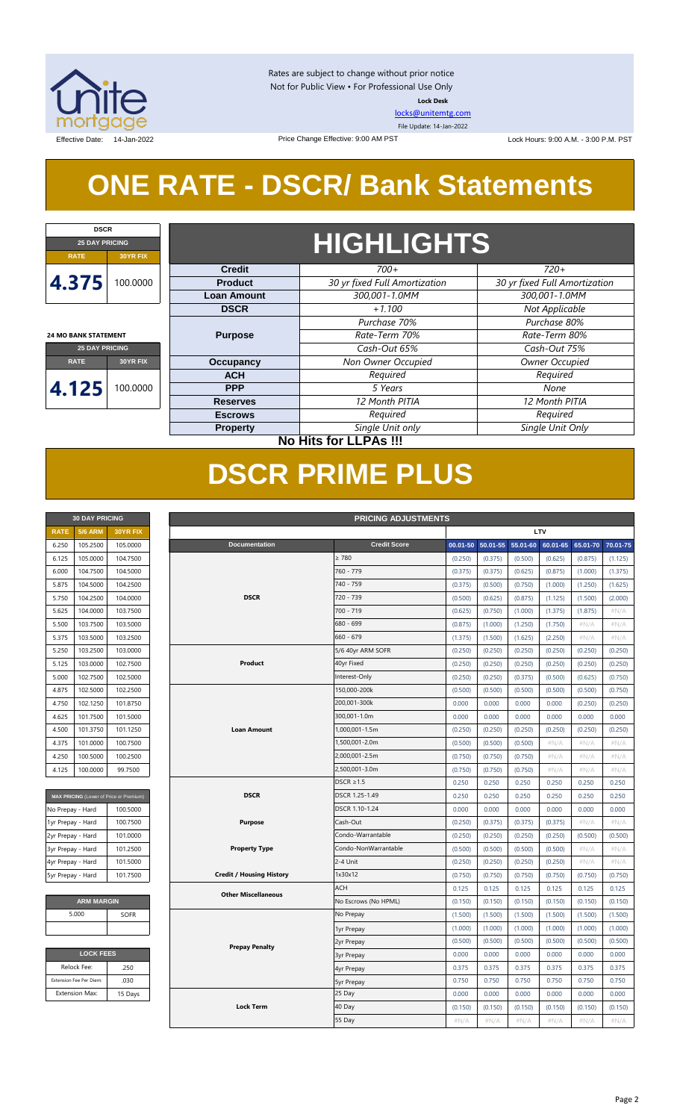

Rates are subject to change without prior notice Not for Public View • For Professional Use Only **Lock Desk**

[locks@unitemtg.com](mailto:locks@unitemtg.com) File Update: 14-Jan-2022

Effective Date: 14-Jan-2022 **Lock Hours: 9:00 A.M. - 3:00 P.M. PST** Lock Hours: 9:00 A.M. - 3:00 P.M. PST

## **ONE RATE - DSCR/ Bank Statements**

Price Change Effective: 9:00 AM PST

| <b>DSCR</b>                 |          |  |  |  |  |  |  |
|-----------------------------|----------|--|--|--|--|--|--|
| <b>25 DAY PRICING</b>       |          |  |  |  |  |  |  |
| <b>RATE</b>                 | 30YR FIX |  |  |  |  |  |  |
| 4.375                       | 100,0000 |  |  |  |  |  |  |
| <b>24 MO BANK STATEMENT</b> |          |  |  |  |  |  |  |

**25 DAY PRICING RATE 30YR FIX**

**4.125** 100.0000

## **HIGHLIGHTS**

| <b>Credit</b>      | $700+$                        | $720+$                        |  |  |  |  |
|--------------------|-------------------------------|-------------------------------|--|--|--|--|
| <b>Product</b>     | 30 yr fixed Full Amortization | 30 yr fixed Full Amortization |  |  |  |  |
| <b>Loan Amount</b> | 300,001-1.0MM                 | 300,001-1.0MM                 |  |  |  |  |
| <b>DSCR</b>        | $+1.100$                      | Not Applicable                |  |  |  |  |
|                    | Purchase 70%                  | Purchase 80%                  |  |  |  |  |
| <b>Purpose</b>     | Rate-Term 70%                 | Rate-Term 80%                 |  |  |  |  |
|                    | Cash-Out 65%                  | Cash-Out 75%                  |  |  |  |  |
| Occupancy          | Non Owner Occupied            | <b>Owner Occupied</b>         |  |  |  |  |
| <b>ACH</b>         | Required                      | Required                      |  |  |  |  |
| <b>PPP</b>         | 5 Years                       | None                          |  |  |  |  |
| <b>Reserves</b>    | 12 Month PITIA                | 12 Month PITIA                |  |  |  |  |
| <b>Escrows</b>     | Required                      | Required                      |  |  |  |  |
| <b>Property</b>    | Single Unit only              | Single Unit Only              |  |  |  |  |

**30 DAY PRICING PRICING ADJUSTMENTS**

### **No Hits for LLPAs !!!**

## **DSCR PRIME PLUS**

|             | <b>30 DAY PRICING</b> |                 |  |  |  |  |  |  |  |
|-------------|-----------------------|-----------------|--|--|--|--|--|--|--|
| <b>RATE</b> | <b>5/6 ARM</b>        | <b>30YR FIX</b> |  |  |  |  |  |  |  |
| 6.250       | 105.2500              | 105.0000        |  |  |  |  |  |  |  |
| 6.125       | 105.0000              | 104.7500        |  |  |  |  |  |  |  |
| 6.000       | 104.7500              | 104.5000        |  |  |  |  |  |  |  |
| 5.875       | 104.5000              | 104.2500        |  |  |  |  |  |  |  |
| 5.750       | 104.2500              | 104.0000        |  |  |  |  |  |  |  |
| 5.625       | 104.0000              | 103.7500        |  |  |  |  |  |  |  |
| 5.500       | 103.7500              | 103.5000        |  |  |  |  |  |  |  |
| 5.375       | 103.5000              | 103.2500        |  |  |  |  |  |  |  |
| 5.250       | 103.2500              | 103.0000        |  |  |  |  |  |  |  |
| 5.125       | 103.0000              | 102.7500        |  |  |  |  |  |  |  |
| 5.000       | 102.7500              | 102.5000        |  |  |  |  |  |  |  |
| 4.875       | 102.5000              | 102.2500        |  |  |  |  |  |  |  |
| 4.750       | 102.1250              | 101.8750        |  |  |  |  |  |  |  |
| 4.625       | 101.7500              | 101.5000        |  |  |  |  |  |  |  |
| 4.500       | 101.3750              | 101.1250        |  |  |  |  |  |  |  |
| 4.375       | 101.0000              | 100.7500        |  |  |  |  |  |  |  |
| 4.250       | 100.5000              | 100.2500        |  |  |  |  |  |  |  |
| 4125        | 100.0000              | 99.7500         |  |  |  |  |  |  |  |

| <b>MAX PRICING</b> (Lower of Price or Premium) |          |  |  |  |  |  |  |  |  |
|------------------------------------------------|----------|--|--|--|--|--|--|--|--|
| No Prepay - Hard                               | 100.5000 |  |  |  |  |  |  |  |  |
| 1yr Prepay - Hard                              | 100.7500 |  |  |  |  |  |  |  |  |
| 2yr Prepay - Hard                              | 101.0000 |  |  |  |  |  |  |  |  |
| 3yr Prepay - Hard                              | 101.2500 |  |  |  |  |  |  |  |  |
| 4yr Prepay - Hard                              | 101.5000 |  |  |  |  |  |  |  |  |
| 5yr Prepay - Hard                              | 101.7500 |  |  |  |  |  |  |  |  |

| <b>ARM MARGIN</b> |             |  |  |  |  |  |  |
|-------------------|-------------|--|--|--|--|--|--|
| 5.000             | <b>SOFR</b> |  |  |  |  |  |  |
|                   |             |  |  |  |  |  |  |
|                   |             |  |  |  |  |  |  |

| .250    |
|---------|
| .030    |
| 15 Days |
|         |

| <b>RATE</b>       | <b>5/6 ARM</b>          | 30YR FIX                                |                                 |                      | LTV      |              |          |          |          |          |
|-------------------|-------------------------|-----------------------------------------|---------------------------------|----------------------|----------|--------------|----------|----------|----------|----------|
| 6.250             | 105.2500                | 105.0000                                | <b>Documentation</b>            | <b>Credit Score</b>  | 00.01-50 | $50.01 - 55$ | 55.01-60 | 60.01-65 | 65.01-70 | 70.01-75 |
| 6.125             | 105.0000                | 104.7500                                |                                 | $\geq 780$           | (0.250)  | (0.375)      | (0.500)  | (0.625)  | (0.875)  | (1.125)  |
| 6.000             | 104.7500                | 104.5000                                |                                 | 760 - 779            | (0.375)  | (0.375)      | (0.625)  | (0.875)  | (1.000)  | (1.375)  |
| 5.875             | 104.5000                | 104.2500                                |                                 | 740 - 759            | (0.375)  | (0.500)      | (0.750)  | (1.000)  | (1.250)  | (1.625)  |
| 5.750             | 104.2500                | 104.0000                                | <b>DSCR</b>                     | 720 - 739            | (0.500)  | (0.625)      | (0.875)  | (1.125)  | (1.500)  | (2.000)  |
| 5.625             | 104.0000                | 103.7500                                |                                 | 700 - 719            | (0.625)  | (0.750)      | (1.000)  | (1.375)  | (1.875)  | #N/A     |
| 5.500             | 103.7500                | 103.5000                                |                                 | 680 - 699            | (0.875)  | (1.000)      | (1.250)  | (1.750)  | $\#N/A$  | $\#N/A$  |
| 5.375             | 103.5000                | 103.2500                                |                                 | $660 - 679$          | (1.375)  | (1.500)      | (1.625)  | (2.250)  | #N/A     | #N/A     |
| 5.250             | 103.2500                | 103.0000                                |                                 | 5/6 40yr ARM SOFR    | (0.250)  | (0.250)      | (0.250)  | (0.250)  | (0.250)  | (0.250)  |
| 5.125             | 103.0000                | 102.7500                                | Product                         | 40yr Fixed           | (0.250)  | (0.250)      | (0.250)  | (0.250)  | (0.250)  | (0.250)  |
| 5.000             | 102.7500                | 102.5000                                |                                 | Interest-Only        | (0.250)  | (0.250)      | (0.375)  | (0.500)  | (0.625)  | (0.750)  |
| 4.875             | 102.5000                | 102.2500                                |                                 | 150.000-200k         | (0.500)  | (0.500)      | (0.500)  | (0.500)  | (0.500)  | (0.750)  |
| 4.750             | 102.1250                | 101.8750                                |                                 | 200,001-300k         | 0.000    | 0.000        | 0.000    | 0.000    | (0.250)  | (0.250)  |
| 4.625             | 101.7500                | 101.5000                                |                                 | 300,001-1.0m         | 0.000    | 0.000        | 0.000    | 0.000    | 0.000    | 0.000    |
| 4.500             | 101.3750                | 101.1250                                | <b>Loan Amount</b>              | 1,000,001-1.5m       | (0.250)  | (0.250)      | (0.250)  | (0.250)  | (0.250)  | (0.250)  |
| 4.375             | 101.0000                | 100.7500                                |                                 | 1,500,001-2.0m       | (0.500)  | (0.500)      | (0.500)  | $\#N/A$  | $\#N/A$  | #N/A     |
| 4.250             | 100.5000                | 100.2500                                |                                 | 2,000,001-2.5m       | (0.750)  | (0.750)      | (0.750)  | $\#N/A$  | #N/A     | #N/A     |
| 4.125             | 100.0000                | 99.7500                                 |                                 | 2,500,001-3.0m       | (0.750)  | (0.750)      | (0.750)  | $\#N/A$  | #N/A     | #N/A     |
|                   |                         |                                         | $DSCR \geq 1.5$                 | 0.250                | 0.250    | 0.250        | 0.250    | 0.250    | 0.250    |          |
|                   |                         | MAX PRICING (Lower of Price or Premium) | <b>DSCR</b>                     | DSCR 1.25-1.49       | 0.250    | 0.250        | 0.250    | 0.250    | 0.250    | 0.250    |
| No Prepay - Hard  |                         | 100.5000                                |                                 | DSCR 1.10-1.24       | 0.000    | 0.000        | 0.000    | 0.000    | 0.000    | 0.000    |
| 1yr Prepay - Hard |                         | 100.7500                                | <b>Purpose</b>                  | Cash-Out             | (0.250)  | (0.375)      | (0.375)  | (0.375)  | $\#N/A$  | #N/A     |
| 2yr Prepay - Hard |                         | 101.0000                                |                                 | Condo-Warrantable    | (0.250)  | (0.250)      | (0.250)  | (0.250)  | (0.500)  | (0.500)  |
| 3yr Prepay - Hard |                         | 101.2500                                | <b>Property Type</b>            | Condo-NonWarrantable | (0.500)  | (0.500)      | (0.500)  | (0.500)  | $\#N/A$  | #N/A     |
| 4yr Prepay - Hard |                         | 101.5000                                |                                 | 2-4 Unit             | (0.250)  | (0.250)      | (0.250)  | (0.250)  | $\#N/A$  | #N/A     |
| 5yr Prepay - Hard |                         | 101.7500                                | <b>Credit / Housing History</b> | 1x30x12              | (0.750)  | (0.750)      | (0.750)  | (0.750)  | (0.750)  | (0.750)  |
|                   |                         |                                         | <b>Other Miscellaneous</b>      | <b>ACH</b>           | 0.125    | 0.125        | 0.125    | 0.125    | 0.125    | 0.125    |
|                   | <b>ARM MARGIN</b>       |                                         |                                 | No Escrows (No HPML) | (0.150)  | (0.150)      | (0.150)  | (0.150)  | (0.150)  | (0.150)  |
|                   | 5.000                   | SOFR                                    |                                 | No Prepay            | (1.500)  | (1.500)      | (1.500)  | (1.500)  | (1.500)  | (1.500)  |
|                   |                         |                                         |                                 | 1yr Prepay           | (1.000)  | (1.000)      | (1.000)  | (1.000)  | (1.000)  | (1.000)  |
|                   |                         |                                         | <b>Prepay Penalty</b>           | 2yr Prepay           | (0.500)  | (0.500)      | (0.500)  | (0.500)  | (0.500)  | (0.500)  |
|                   | <b>LOCK FEES</b>        |                                         |                                 | <b>3yr Prepay</b>    | 0.000    | 0.000        | 0.000    | 0.000    | 0.000    | 0.000    |
|                   | Relock Fee:             | .250                                    |                                 | 4yr Prepay           | 0.375    | 0.375        | 0.375    | 0.375    | 0.375    | 0.375    |
|                   | Extension Fee Per Diem: | .030                                    |                                 | <b>5yr Prepay</b>    | 0.750    | 0.750        | 0.750    | 0.750    | 0.750    | 0.750    |
|                   | <b>Extension Max:</b>   | 15 Days                                 |                                 | 25 Day               | 0.000    | 0.000        | 0.000    | 0.000    | 0.000    | 0.000    |
|                   |                         |                                         | <b>Lock Term</b>                | 40 Day               | (0.150)  | (0.150)      | (0.150)  | (0.150)  | (0.150)  | (0.150)  |
|                   |                         |                                         |                                 | 55 Day               | #N/A     | #N/A         | #N/A     | #N/A     | #N/A     | #N/A     |
|                   |                         |                                         |                                 |                      |          |              |          |          |          |          |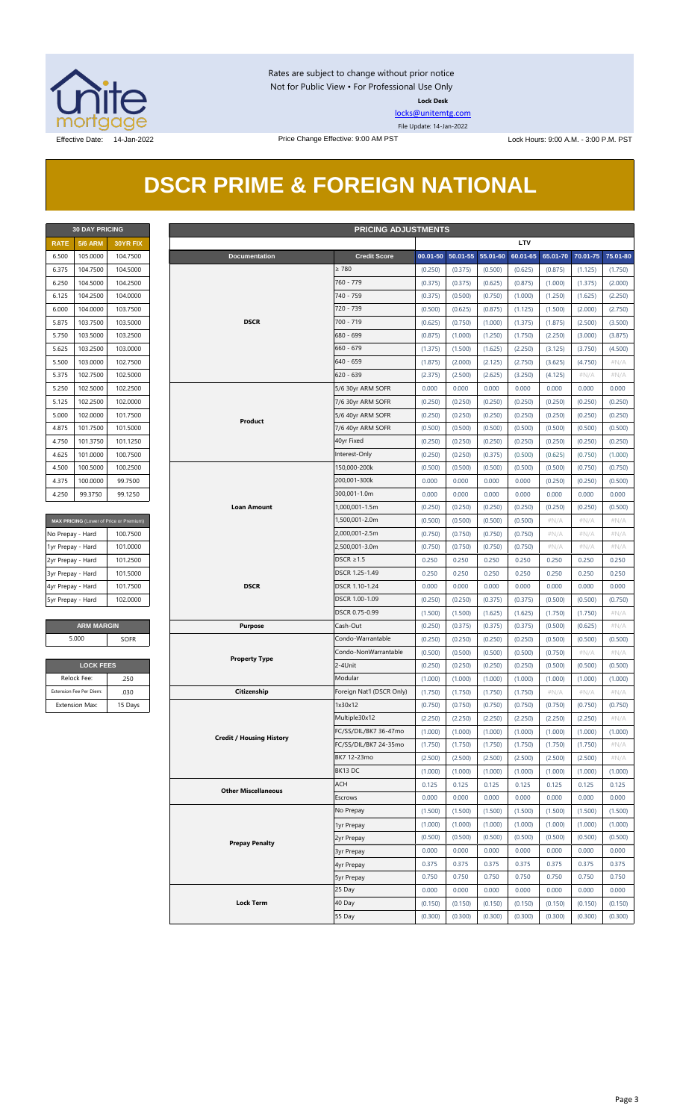

Rates are subject to change without prior notice Not for Public View • For Professional Use Only **Lock Desk**

[locks@unitemtg.com](mailto:locks@unitemtg.com)

File Update: 14-Jan-2022

## **DSCR PRIME & FOREIGN NATIONAL**

|             | <b>30 DAY PRICING</b> |                 |
|-------------|-----------------------|-----------------|
| <b>RATE</b> | <b>5/6 ARM</b>        | <b>30YR FIX</b> |
| 6.500       | 105.0000              | 104.7500        |
| 6.375       | 104.7500              | 104.5000        |
| 6.250       | 104.5000              | 104.2500        |
| 6.125       | 104.2500              | 104.0000        |
| 6.000       | 104.0000              | 103.7500        |
| 5.875       | 103.7500              | 103.5000        |
| 5.750       | 103.5000              | 103.2500        |
| 5.625       | 103.2500              | 103.0000        |
| 5.500       | 103.0000              | 102.7500        |
| 5.375       | 102.7500              | 102.5000        |
| 5.250       | 102.5000              | 102.2500        |
| 5.125       | 102.2500              | 102,0000        |
| 5.000       | 102,0000              | 101.7500        |
| 4.875       | 101.7500              | 101.5000        |
| 4.750       | 101.3750              | 101.1250        |
| 4.625       | 101.0000              | 100.7500        |
| 4.500       | 100.5000              | 100.2500        |
| 4.375       | 100.0000              | 99.7500         |
| 4.250       | 99.3750               | 99.1250         |

| MAX PRICING (Lower of Price or Premium) |          |  |  |  |  |  |  |  |
|-----------------------------------------|----------|--|--|--|--|--|--|--|
| No Prepay - Hard                        | 100.7500 |  |  |  |  |  |  |  |
| 1yr Prepay - Hard                       | 101.0000 |  |  |  |  |  |  |  |
| 2yr Prepay - Hard                       | 101.2500 |  |  |  |  |  |  |  |
| 3yr Prepay - Hard                       | 101.5000 |  |  |  |  |  |  |  |
| 4yr Prepay - Hard                       | 101.7500 |  |  |  |  |  |  |  |
| 5yr Prepay - Hard                       | 102,0000 |  |  |  |  |  |  |  |

| <b>LOCK FEES</b>        |         |  |  |  |  |  |  |
|-------------------------|---------|--|--|--|--|--|--|
| Relock Fee:             | 250     |  |  |  |  |  |  |
| Extension Fee Per Diem: | .030    |  |  |  |  |  |  |
| <b>Extension Max:</b>   | 15 Days |  |  |  |  |  |  |

| <b>30 DAY PRICING</b><br><b>PRICING ADJUSTMENTS</b> |                                                                |                                         |                       |                                 |                |                               |         |                   |          |          |          |          |          |
|-----------------------------------------------------|----------------------------------------------------------------|-----------------------------------------|-----------------------|---------------------------------|----------------|-------------------------------|---------|-------------------|----------|----------|----------|----------|----------|
| <b>RATE</b>                                         | <b>5/6 ARM</b>                                                 | 30YR FIX                                |                       |                                 |                |                               |         |                   |          | LTV      |          |          |          |
| 6.500                                               | 105.0000                                                       | 104.7500                                |                       | <b>Documentation</b>            |                | <b>Credit Score</b>           |         | 00.01-50 50.01-55 | 55.01-60 | 60.01-65 | 65.01-70 | 70.01-75 | 75.01-80 |
| 6.375                                               | 104.7500                                                       | 104.5000                                |                       |                                 |                | $\geq 780$                    | (0.250) | (0.375)           | (0.500)  | (0.625)  | (0.875)  | (1.125)  | (1.750)  |
| 6.250                                               | 104.5000                                                       | 104.2500                                |                       |                                 |                | 760 - 779                     | (0.375) | (0.375)           | (0.625)  | (0.875)  | (1.000)  | (1.375)  | (2.000)  |
| 6.125                                               | 104.2500                                                       | 104.0000                                |                       |                                 |                | 740 - 759                     | (0.375) | (0.500)           | (0.750)  | (1.000)  | (1.250)  | (1.625)  | (2.250)  |
| 6.000                                               | 104.0000                                                       | 103.7500                                |                       | <b>DSCR</b>                     |                | 720 - 739                     | (0.500) | (0.625)           | (0.875)  | (1.125)  | (1.500)  | (2.000)  | (2.750)  |
| 5.875                                               | 103.7500                                                       | 103.5000                                |                       |                                 |                | $700 - 719$                   | (0.625) | (0.750)           | (1.000)  | (1.375)  | (1.875)  | (2.500)  | (3.500)  |
| 5.750                                               | 103.5000                                                       | 103.2500                                |                       |                                 |                | 680 - 699                     | (0.875) | (1.000)           | (1.250)  | (1.750)  | (2.250)  | (3.000)  | (3.875)  |
| 5.625                                               | 103.2500                                                       | 103.0000                                |                       |                                 |                | $660 - 679$                   | (1.375) | (1.500)           | (1.625)  | (2.250)  | (3.125)  | (3.750)  | (4.500)  |
| 5.500                                               | 103.0000                                                       | 102.7500                                |                       |                                 |                | $640 - 659$                   | (1.875) | (2.000)           | (2.125)  | (2.750)  | (3.625)  | (4.750)  | $\#N/A$  |
| 5.375                                               | 102.7500                                                       | 102.5000                                |                       |                                 |                | $620 - 639$                   | (2.375) | (2.500)           | (2.625)  | (3.250)  | (4.125)  | #N/A     | $\#N/A$  |
| 5.250                                               | 102.5000                                                       | 102.2500                                |                       |                                 |                | 5/6 30yr ARM SOFR             | 0.000   | 0.000             | 0.000    | 0.000    | 0.000    | 0.000    | 0.000    |
| 5.125                                               | 102.2500                                                       | 102.0000                                |                       |                                 |                | 7/6 30yr ARM SOFR             | (0.250) | (0.250)           | (0.250)  | (0.250)  | (0.250)  | (0.250)  | (0.250)  |
| 5.000                                               | 102.0000                                                       | 101.7500                                |                       |                                 |                | 5/6 40yr ARM SOFR             | (0.250) | (0.250)           | (0.250)  | (0.250)  | (0.250)  | (0.250)  | (0.250)  |
| 4.875                                               | 101.7500                                                       | 101.5000                                |                       | Product                         |                | 7/6 40yr ARM SOFR             | (0.500) | (0.500)           | (0.500)  | (0.500)  | (0.500)  | (0.500)  | (0.500)  |
|                                                     |                                                                |                                         |                       |                                 |                | 40yr Fixed                    |         |                   |          |          |          |          |          |
| 4.750                                               | 101.3750                                                       | 101.1250                                |                       |                                 |                |                               | (0.250) | (0.250)           | (0.250)  | (0.250)  | (0.250)  | (0.250)  | (0.250)  |
| 4.625                                               | 101.0000                                                       | 100.7500                                |                       |                                 |                | Interest-Only<br>150,000-200k | (0.250) | (0.250)           | (0.375)  | (0.500)  | (0.625)  | (0.750)  | (1.000)  |
| 4.500                                               | 100.5000                                                       | 100.2500                                |                       |                                 |                |                               | (0.500) | (0.500)           | (0.500)  | (0.500)  | (0.500)  | (0.750)  | (0.750)  |
| 4.375                                               | 100.0000                                                       | 99.7500                                 |                       |                                 |                | 200,001-300k                  | 0.000   | 0.000             | 0.000    | 0.000    | (0.250)  | (0.250)  | (0.500)  |
| 4.250                                               | 99.3750                                                        | 99.1250                                 |                       |                                 |                | 300,001-1.0m                  | 0.000   | 0.000             | 0.000    | 0.000    | 0.000    | 0.000    | 0.000    |
|                                                     |                                                                |                                         |                       | <b>Loan Amount</b>              |                | 1,000,001-1.5m                | (0.250) | (0.250)           | (0.250)  | (0.250)  | (0.250)  | (0.250)  | (0.500)  |
|                                                     |                                                                | MAX PRICING (Lower of Price or Premium) |                       |                                 |                | 1,500,001-2.0m                | (0.500) | (0.500)           | (0.500)  | (0.500)  | $\#N/A$  | $\#N/A$  | $\#N/A$  |
| No Prepay - Hard                                    |                                                                | 100.7500                                |                       |                                 |                | 2,000,001-2.5m                | (0.750) | (0.750)           | (0.750)  | (0.750)  | $\#N/A$  | $\#N/A$  | # $N/A$  |
| 1yr Prepay - Hard                                   |                                                                | 101.0000                                |                       |                                 |                | 2,500,001-3.0m                | (0.750) | (0.750)           | (0.750)  | (0.750)  | $\#N/A$  | $\#N/A$  | $\#N/A$  |
| 2yr Prepay - Hard                                   |                                                                | 101.2500                                |                       |                                 |                | DSCR $\geq$ 1.5               | 0.250   | 0.250             | 0.250    | 0.250    | 0.250    | 0.250    | 0.250    |
| 3yr Prepay - Hard                                   |                                                                | 101.5000                                |                       |                                 |                | DSCR 1.25-1.49                | 0.250   | 0.250             | 0.250    | 0.250    | 0.250    | 0.250    | 0.250    |
|                                                     | 4yr Prepay - Hard<br>101.7500<br>5yr Prepay - Hard<br>102.0000 |                                         |                       | <b>DSCR</b>                     |                | DSCR 1.10-1.24                | 0.000   | 0.000             | 0.000    | 0.000    | 0.000    | 0.000    | 0.000    |
|                                                     |                                                                |                                         |                       |                                 |                | DSCR 1.00-1.09                | (0.250) | (0.250)           | (0.375)  | (0.375)  | (0.500)  | (0.500)  | (0.750)  |
|                                                     |                                                                |                                         |                       |                                 | DSCR 0.75-0.99 | (1.500)                       | (1.500) | (1.625)           | (1.625)  | (1.750)  | (1.750)  | $\#N/A$  |          |
|                                                     | <b>ARM MARGIN</b>                                              |                                         |                       | <b>Purpose</b>                  |                | Cash-Out                      | (0.250) | (0.375)           | (0.375)  | (0.375)  | (0.500)  | (0.625)  | $\#N/A$  |
|                                                     | 5.000                                                          | SOFR                                    |                       |                                 |                | Condo-Warrantable             | (0.250) | (0.250)           | (0.250)  | (0.250)  | (0.500)  | (0.500)  | (0.500)  |
|                                                     |                                                                |                                         |                       | <b>Property Type</b>            |                | Condo-NonWarrantable          | (0.500) | (0.500)           | (0.500)  | (0.500)  | (0.750)  | $\#N/A$  | #N/A     |
|                                                     | <b>LOCK FEES</b>                                               |                                         |                       |                                 |                | 2-4Unit                       | (0.250) | (0.250)           | (0.250)  | (0.250)  | (0.500)  | (0.500)  | (0.500)  |
|                                                     | Relock Fee:                                                    | .250                                    |                       |                                 |                | Modular                       | (1.000) | (1.000)           | (1.000)  | (1.000)  | (1.000)  | (1.000)  | (1.000)  |
|                                                     | Extension Fee Per Diem:                                        | .030                                    |                       | Citizenship                     |                | Foreign Nat'l (DSCR Only)     | (1.750) | (1.750)           | (1.750)  | (1.750)  | $\#N/A$  | $\#N/A$  | $\#N/A$  |
|                                                     | <b>Extension Max:</b>                                          | 15 Days                                 |                       |                                 |                | 1x30x12                       | (0.750) | (0.750)           | (0.750)  | (0.750)  | (0.750)  | (0.750)  | (0.750)  |
|                                                     |                                                                |                                         |                       |                                 |                | Multiple30x12                 | (2.250) | (2.250)           | (2.250)  | (2.250)  | (2.250)  | (2.250)  | $\#N/A$  |
|                                                     |                                                                |                                         |                       |                                 |                | FC/SS/DIL/BK7 36-47mo         | (1.000) | (1.000)           | (1.000)  | (1.000)  | (1.000)  | (1.000)  | (1.000)  |
|                                                     |                                                                |                                         |                       | <b>Credit / Housing History</b> |                | FC/SS/DIL/BK7 24-35mo         | (1.750) | (1.750)           | (1.750)  | (1.750)  | (1.750)  | (1.750)  | # $N/A$  |
|                                                     |                                                                |                                         |                       |                                 |                | BK7 12-23mo                   | (2.500) | (2.500)           | (2.500)  | (2.500)  | (2.500)  | (2.500)  | $\#N/A$  |
|                                                     |                                                                |                                         |                       |                                 |                | BK13 DC                       | (1.000) | (1.000)           | (1.000)  | (1.000)  | (1.000)  | (1.000)  | (1.000)  |
|                                                     |                                                                |                                         |                       |                                 |                | ACH                           | 0.125   | 0.125             | 0.125    | 0.125    | 0.125    | 0.125    | 0.125    |
|                                                     |                                                                |                                         |                       | <b>Other Miscellaneous</b>      |                | Escrows                       | 0.000   | 0.000             | 0.000    | 0.000    | 0.000    | 0.000    | 0.000    |
|                                                     |                                                                |                                         |                       |                                 |                | No Prepay                     | (1.500) | (1.500)           | (1.500)  | (1.500)  | (1.500)  | (1.500)  | (1.500)  |
|                                                     |                                                                |                                         |                       |                                 | 1yr Prepay     | (1.000)                       | (1.000) | (1.000)           | (1.000)  | (1.000)  | (1.000)  | (1.000)  |          |
|                                                     |                                                                |                                         |                       |                                 | 2yr Prepay     | (0.500)                       | (0.500) | (0.500)           | (0.500)  | (0.500)  | (0.500)  | (0.500)  |          |
|                                                     |                                                                |                                         | <b>Prepay Penalty</b> |                                 | 3yr Prepay     | 0.000                         | 0.000   | 0.000             | 0.000    | 0.000    | 0.000    | 0.000    |          |
|                                                     |                                                                |                                         |                       |                                 |                | 4yr Prepay                    | 0.375   | 0.375             | 0.375    | 0.375    | 0.375    | 0.375    | 0.375    |
|                                                     |                                                                |                                         |                       |                                 |                | 5yr Prepay                    | 0.750   | 0.750             | 0.750    | 0.750    | 0.750    | 0.750    | 0.750    |
|                                                     |                                                                |                                         |                       |                                 |                | 25 Day                        | 0.000   | 0.000             | 0.000    | 0.000    | 0.000    | 0.000    | 0.000    |
|                                                     |                                                                |                                         |                       | <b>Lock Term</b>                |                | 40 Day                        | (0.150) | (0.150)           | (0.150)  | (0.150)  | (0.150)  | (0.150)  | (0.150)  |
|                                                     |                                                                |                                         |                       |                                 |                | 55 Day                        | (0.300) | (0.300)           | (0.300)  | (0.300)  | (0.300)  | (0.300)  | (0.300)  |
|                                                     |                                                                |                                         |                       |                                 |                |                               |         |                   |          |          |          |          |          |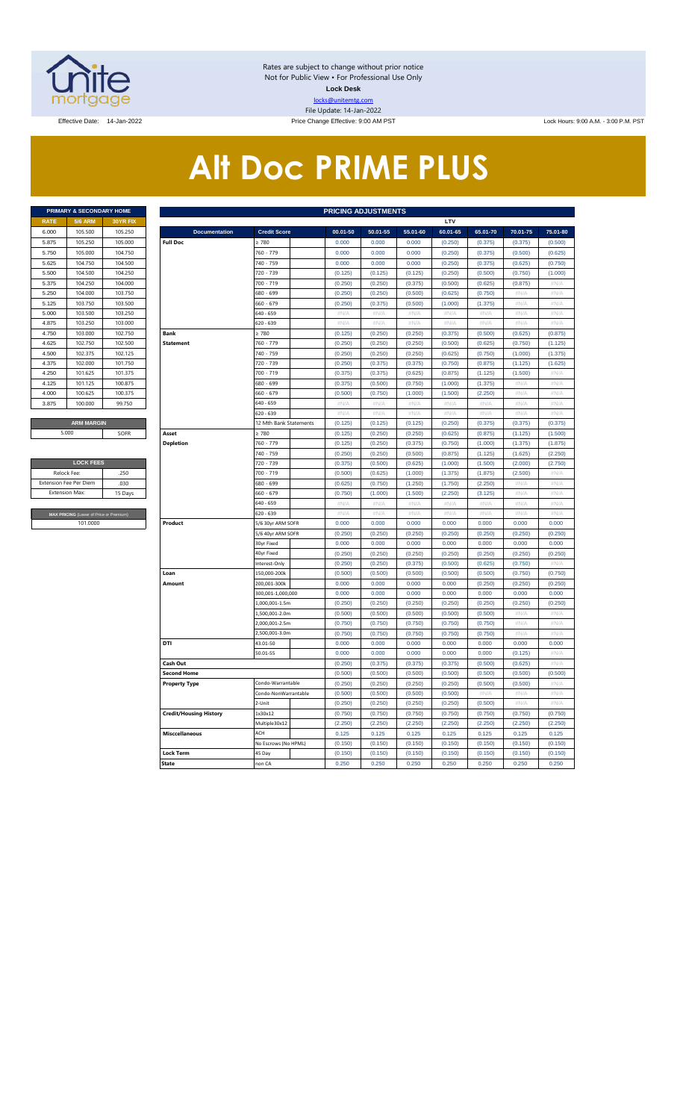

Rates are subject to change without prior notice Not for Public View • For Professional Use Only **Lock Desk** locks@unitemtg.com File Update: 14-Jan-2022

Effective Date: 14-Jan-2022 **Price Change Effective: 9:00 AM PST** Lock Hours: 9:00 A.M. - 3:00 P.M. PST

# **Alt Doc PRIME PLUS**

| <b>PRIMARY &amp; SECONDARY HOME</b> |                   |                 |  |  |  |  |  |  |  |  |  |
|-------------------------------------|-------------------|-----------------|--|--|--|--|--|--|--|--|--|
| <b>RATE</b>                         | <b>5/6 ARM</b>    | <b>30YR FIX</b> |  |  |  |  |  |  |  |  |  |
| 6.000                               | 105,500           | 105.250         |  |  |  |  |  |  |  |  |  |
| 5.875                               | 105.250           | 105.000         |  |  |  |  |  |  |  |  |  |
| 5.750                               | 105,000           | 104.750         |  |  |  |  |  |  |  |  |  |
| 5.625                               | 104.750           | 104.500         |  |  |  |  |  |  |  |  |  |
| 5.500                               | 104.500           | 104.250         |  |  |  |  |  |  |  |  |  |
| 5.375                               | 104.250           | 104,000         |  |  |  |  |  |  |  |  |  |
| 5.250                               | 104.000           | 103.750         |  |  |  |  |  |  |  |  |  |
| 5.125                               | 103.750           | 103.500         |  |  |  |  |  |  |  |  |  |
| 5.000                               | 103.500           | 103.250         |  |  |  |  |  |  |  |  |  |
| 4.875                               | 103.250           | 103,000         |  |  |  |  |  |  |  |  |  |
| 4.750                               | 103,000           | 102.750         |  |  |  |  |  |  |  |  |  |
| 4.625                               | 102.750           | 102.500         |  |  |  |  |  |  |  |  |  |
| 4.500                               | 102.375           | 102.125         |  |  |  |  |  |  |  |  |  |
| 4.375                               | 102.000           | 101.750         |  |  |  |  |  |  |  |  |  |
| 4.250                               | 101.625           | 101.375         |  |  |  |  |  |  |  |  |  |
| 4.125                               | 101.125           | 100.875         |  |  |  |  |  |  |  |  |  |
| 4.000                               | 100.625           | 100.375         |  |  |  |  |  |  |  |  |  |
| 3.875                               | 100,000           | 99.750          |  |  |  |  |  |  |  |  |  |
|                                     |                   |                 |  |  |  |  |  |  |  |  |  |
|                                     | <b>ARM MARGIN</b> |                 |  |  |  |  |  |  |  |  |  |

| <b>LOCK FEES</b>                        |         |  |  |  |  |  |  |  |  |  |
|-----------------------------------------|---------|--|--|--|--|--|--|--|--|--|
| Relock Fee:                             | 250     |  |  |  |  |  |  |  |  |  |
| <b>Extension Fee Per Diem</b>           | .030    |  |  |  |  |  |  |  |  |  |
| <b>Extension Max:</b>                   | 15 Days |  |  |  |  |  |  |  |  |  |
|                                         |         |  |  |  |  |  |  |  |  |  |
| MAX PRICING (Lower of Price or Premium) |         |  |  |  |  |  |  |  |  |  |
| 101,0000                                |         |  |  |  |  |  |  |  |  |  |

|             | PRIMARY & SECONDARY HOME                |         |                               |                        | <b>PRICING ADJUSTMENTS</b> |                           |          |                           |          |            |             |
|-------------|-----------------------------------------|---------|-------------------------------|------------------------|----------------------------|---------------------------|----------|---------------------------|----------|------------|-------------|
| <b>RATE</b> | <b>5/6 ARM</b>                          | 30YR FD |                               |                        |                            |                           |          | LTV                       |          |            |             |
| 6.000       | 105.500                                 | 105.250 | <b>Documentation</b>          | <b>Credit Score</b>    | 00.01-50                   | 50.01-55                  | 55.01-60 | 60.01-65                  | 65.01-70 | 70.01-75   | 75.01-80    |
| 5.875       | 105.250                                 | 105.000 | <b>Full Doc</b>               | 2780                   | 0.000                      | 0.000                     | 0.000    | (0.250)                   | (0.375)  | (0.375)    | (0.500)     |
| 5.750       | 105.000                                 | 104.750 |                               | 760 - 779              | 0.000                      | 0.000                     | 0.000    | (0.250)                   | (0.375)  | (0.500)    | (0.625)     |
| 5.625       | 104.750                                 | 104.500 |                               | 740 - 759              | 0.000                      | 0.000                     | 0.000    | (0.250)                   | (0.375)  | (0.625)    | (0.750)     |
| 5.500       | 104.500                                 | 104.250 |                               | 720 - 739              | (0.125)                    | (0.125)                   | (0.125)  | (0.250)                   | (0.500)  | (0.750)    | (1.000)     |
| 5.375       | 104.250                                 | 104.000 |                               | 700 - 719              | (0.250)                    | (0.250)                   | (0.375)  | (0.500)                   | (0.625)  | (0.875)    | #N/A        |
| 5.250       | 104.000                                 | 103.750 |                               | 680 - 699              | (0.250)                    | (0.250)                   | (0.500)  | (0.625)                   | (0.750)  | #N/A       | $\#N/A$     |
| 5.125       | 103.750                                 | 103.500 |                               | $560 - 679$            | (0.250)                    | (0.375)                   | (0.500)  | (1.000)                   | (1.375)  | #N/A       | #N/A        |
| 5.000       | 103.500                                 | 103.250 |                               | 640 - 659              | #N/A                       | # $N/A$                   | # $N/A$  | $\#\mathbb{N}/\mathbb{A}$ | #N/A     | # $N/A$    | # $N/A$     |
| 4.875       | 103.250                                 | 103.000 |                               | 620 - 639              | $\#N/A$                    | $\#N/A$                   | #N/A     | $\#N/A$                   | #N/A     | #N/A       | #N/A        |
| 4.750       | 103.000                                 | 102.750 | <b>Bank</b>                   | $\geq 780$             | (0.125)                    | (0.250)                   | (0.250)  | (0.375)                   | (0.500)  | (0.625)    | (0.875)     |
| 4.625       | 102.750                                 | 102.500 | <b>Statement</b>              | 760 - 779              | (0.250)                    | (0.250)                   | (0.250)  | (0.500)                   | (0.625)  | (0.750)    | (1.125)     |
| 4.500       | 102.375                                 | 102.125 |                               | 740 - 759              | (0.250)                    | (0.250)                   | (0.250)  | (0.625)                   | (0.750)  | (1.000)    | (1.375)     |
| 4.375       | 102.000                                 | 101.750 |                               | 720 - 739              | (0.250)                    | (0.375)                   | (0.375)  | (0.750)                   | (0.875)  | (1.125)    | (1.625)     |
| 4.250       | 101.625                                 | 101.375 |                               | 700 - 719              | (0.375)                    | (0.375)                   | (0.625)  | (0.875)                   | (1.125)  | (1.500)    | #N/A        |
| 4.125       | 101.125                                 | 100.875 |                               | 680 - 699              | (0.375)                    | (0.500)                   | (0.750)  | (1.000)                   | (1.375)  | #N/A       | #N/A        |
| 4.000       | 100.625                                 | 100.375 |                               | 660 - 679              | (0.500)                    | (0.750)                   | (1.000)  | (1.500)                   | (2.250)  | #N/A       | #N/A        |
| 3.875       | 100.000                                 | 99.750  |                               | 640 - 659              | $\#N/A$                    | $\#N/A$                   | #N/A     | #N/A                      | #N/A     | #N/A       | #N/A        |
|             |                                         |         |                               | $520 - 639$            | $\#N/A$                    | $\#\mathsf{N}/\mathsf{A}$ | $\#N/A$  | $\#N/A$                   | #N/A     | $\#N/F$    | $\#N/\beta$ |
|             | <b>ARM MARGIN</b>                       |         |                               | 12 Mth Bank Statements | (0.125)                    | (0.125)                   | (0.125)  | (0.250)                   | (0.375)  | (0.375)    | (0.375)     |
|             | 5.000                                   | SOFR    | Asset                         | $\geq 780$             | (0.125)                    | (0.250)                   | (0.250)  | (0.625)                   | (0.875)  | (1.125)    | (1.500)     |
|             |                                         |         | <b>Depletion</b>              | 760 - 779              | (0.125)                    | (0.250)                   | (0.375)  | (0.750)                   | (1.000)  | (1.375)    | (1.875)     |
|             |                                         |         |                               | 740 - 759              | (0.250)                    | (0.250)                   | (0.500)  | (0.875)                   | (1.125)  | (1.625)    | (2.250)     |
|             | <b>LOCK FEES</b>                        |         |                               | 720 - 739              | (0.375)                    | (0.500)                   | (0.625)  | (1.000)                   | (1.500)  | (2.000)    | (2.750)     |
|             | Relock Fee:<br>.250                     |         |                               | 700 - 719              | (0.500)                    | (0.625)                   | (1.000)  | (1.375)                   | (1.875)  | (2.500)    | $\#N/A$     |
|             | xtension Fee Per Diem                   | .030    |                               | 680 - 699              | (0.625)                    | (0.750)                   | (1.250)  | (1.750)                   | (2.250)  | #N//       | #N/A        |
|             | <b>Extension Max:</b>                   | 15 Days |                               | 660 - 679              | (0.750)                    | (1.000)                   | (1.500)  | (2.250)                   | (3.125)  | # $N/A$    | #N/A        |
|             |                                         |         |                               | 640 - 659              | $\#N/A$                    | # $N/A$                   | $\#N/A$  | $\#\mathsf{N}/\mathsf{A}$ | #N/A     | # $N/A$    | # $N/A$     |
|             | MAX PRICING (Lower of Price or Premium) |         |                               | 620 - 639              | $\#N/A$                    | #N/A                      | #N/A     | #N/A                      | #N/A     | #N/A       | #N/A        |
|             | 101.0000                                |         | Product                       | 5/6 30yr ARM SOFR      | 0.000                      | 0.000                     | 0.000    | 0.000                     | 0.000    | 0.000      | 0.000       |
|             |                                         |         |                               | 5/6 40yr ARM SOFR      | (0.250)                    | (0.250)                   | (0.250)  | (0.250)                   | (0.250)  | (0.250)    | (0.250)     |
|             |                                         |         |                               | 30yr Fixed             | 0.000                      | 0.000                     | 0.000    | 0.000                     | 0.000    | 0.000      | 0.000       |
|             |                                         |         |                               | 40yr Fixed             | (0.250)                    | (0.250)                   | (0.250)  | (0.250)                   | (0.250)  | (0.250)    | (0.250)     |
|             |                                         |         |                               | nterest-Only           | (0.250)                    | (0.250)                   | (0.375)  | (0.500)                   | (0.625)  | (0.750)    | #N/A        |
|             |                                         |         | Loan                          | 150,000-200k           | (0.500)                    | (0.500)                   | (0.500)  | (0.500)                   | (0.500)  | (0.750)    | (0.750)     |
|             |                                         |         | Amount                        | 200,001-300k           | 0.000                      | 0.000                     | 0.000    | 0.000                     | (0.250)  | (0.250)    | (0.250)     |
|             |                                         |         |                               | 300,001-1,000,000      | 0.000                      | 0.000                     | 0.000    | 0.000                     | 0.000    | 0.000      | 0.000       |
|             |                                         |         |                               | 1,000,001-1.5m         | (0.250)                    | (0.250)                   | (0.250)  | (0.250)                   | (0.250)  | (0.250)    | (0.250)     |
|             |                                         |         |                               | ,500,001-2.0m          | (0.500)                    | (0.500)                   | (0.500)  | (0.500)                   | (0.500)  | #N/A       | #N/A        |
|             |                                         |         |                               | 2,000,001-2.5m         | (0.750)                    | (0.750)                   | (0.750)  | (0.750)                   | (0.750)  | #N/A       | #N/A        |
|             |                                         |         |                               | 2,500,001-3.0m         | (0.750)                    | (0.750)                   | (0.750)  | (0.750)                   | (0.750)  | #N/A       | $\#N/\beta$ |
|             |                                         |         | DTI                           | 43.01-50               | 0.000                      | 0.000                     | 0.000    | 0.000                     | 0.000    | 0.000      | 0.000       |
|             |                                         |         |                               | 50.01-55               | 0.000                      | 0.000                     | 0.000    | 0.000                     | 0.000    | (0.125)    | #N/A        |
|             |                                         |         | Cash Out                      |                        | (0.250)                    | (0.375)                   | (0.375)  | (0.375)                   | (0.500)  | (0.625)    | $\#N/\beta$ |
|             |                                         |         | <b>Second Home</b>            |                        | (0.500)                    | (0.500)                   | (0.500)  | (0.500)                   | (0.500)  | (0.500)    | (0.500)     |
|             |                                         |         | <b>Property Type</b>          | Condo-Warrantable      | (0.250)                    | (0.250)                   | (0.250)  | (0.250)                   | (0.500)  | (0.500)    | $\#N/A$     |
|             |                                         |         |                               | Condo-NonWarrantable   | (0.500)                    | (0.500)                   | (0.500)  | (0.500)                   | $\#N/A$  | $\#N/\ell$ | $\#N/\beta$ |
|             |                                         |         |                               | 2-Unit                 | (0.250)                    | (0.250)                   | (0.250)  | (0.250)                   | (0.500)  | #N/A       | $\#N/A$     |
|             |                                         |         | <b>Credit/Housing History</b> | 1x30x12                | (0.750)                    | (0.750)                   | (0.750)  | (0.750)                   | (0.750)  | (0.750)    | (0.750)     |
|             |                                         |         |                               | Multiple30x12          | (2.250)                    | (2.250)                   | (2.250)  | (2.250)                   | (2.250)  | (2.250)    | (2.250)     |
|             |                                         |         | <b>Misccellaneous</b>         | ACH                    | 0.125                      | 0.125                     | 0.125    | 0.125                     | 0.125    | 0.125      | 0.125       |
|             |                                         |         |                               | No Escrows (No HPML)   | (0.150)                    | (0.150)                   | (0.150)  | (0.150)                   | (0.150)  | (0.150)    | (0.150)     |
|             |                                         |         | Lock Term                     | 45 Dav                 | (0.150)                    | (0.150)                   | (0.150)  | (0.150)                   | (0.150)  | (0.150)    | (0.150)     |
|             |                                         |         | <b>State</b>                  | non CA                 | 0.250                      | 0.250                     | 0.250    | 0.250                     | 0.250    | 0.250      | 0.250       |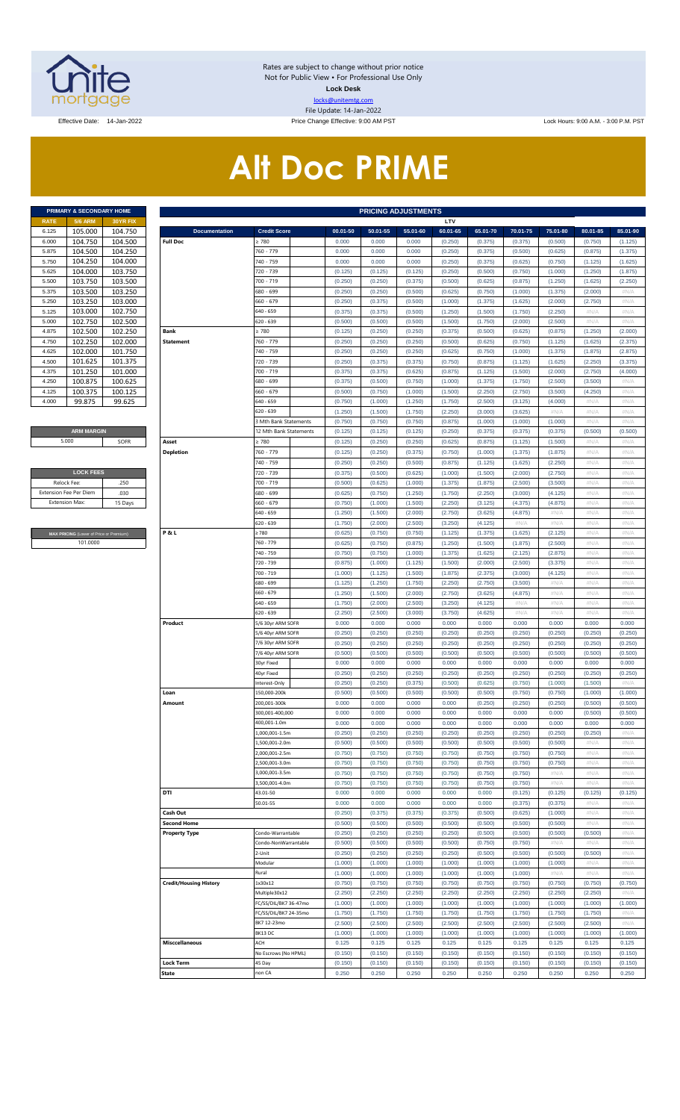

Rates are subject to change without prior notice Not for Public View • For Professional Use Only **Lock Desk** locks@unitemtg.com File Update: 14-Jan-2022

Effective Date: 14-Jan-2022 **Price Change Effective: 9:00 AM PST** Lock Hours: 9:00 A.M. - 3:00 P.M. PST

# **Alt Doc PRIME**

| <b>PRIMARY &amp; SECONDARY HOME</b> |                |                 |  |  |  |  |  |  |  |  |  |  |
|-------------------------------------|----------------|-----------------|--|--|--|--|--|--|--|--|--|--|
| <b>RATE</b>                         | <b>5/6 ARM</b> | <b>30YR FIX</b> |  |  |  |  |  |  |  |  |  |  |
| 6 1 2 5                             | 105.000        | 104.750         |  |  |  |  |  |  |  |  |  |  |
| 6.000                               | 104.750        | 104.500         |  |  |  |  |  |  |  |  |  |  |
| 5.875                               | 104.500        | 104.250         |  |  |  |  |  |  |  |  |  |  |
| 5.750                               | 104.250        | 104.000         |  |  |  |  |  |  |  |  |  |  |
| 5.625                               | 104.000        | 103.750         |  |  |  |  |  |  |  |  |  |  |
| 5.500                               | 103.750        | 103.500         |  |  |  |  |  |  |  |  |  |  |
| 5.375                               | 103.500        | 103.250         |  |  |  |  |  |  |  |  |  |  |
| 5.250                               | 103.250        | 103.000         |  |  |  |  |  |  |  |  |  |  |
| 5.125                               | 103.000        | 102.750         |  |  |  |  |  |  |  |  |  |  |
| 5.000                               | 102.750        | 102.500         |  |  |  |  |  |  |  |  |  |  |
| 4.875                               | 102.500        | 102.250         |  |  |  |  |  |  |  |  |  |  |
| 4.750                               | 102.250        | 102.000         |  |  |  |  |  |  |  |  |  |  |
| 4.625                               | 102.000        | 101.750         |  |  |  |  |  |  |  |  |  |  |
| 4.500                               | 101.625        | 101.375         |  |  |  |  |  |  |  |  |  |  |
| 4.375                               | 101.250        | 101.000         |  |  |  |  |  |  |  |  |  |  |
| 4.250                               | 100.875        | 100.625         |  |  |  |  |  |  |  |  |  |  |
| 4.125                               | 100.375        | 100.125         |  |  |  |  |  |  |  |  |  |  |
| 4.000                               | 99 875         | 99.625          |  |  |  |  |  |  |  |  |  |  |

#### **ARM MARGIN** 5.000

| <b>LOCK FEES</b>              |         |  |  |  |  |  |  |  |  |
|-------------------------------|---------|--|--|--|--|--|--|--|--|
| Relock Fee:                   | .250    |  |  |  |  |  |  |  |  |
| <b>Extension Fee Per Diem</b> | .030    |  |  |  |  |  |  |  |  |
| <b>Fxtension Max:</b>         | 15 Days |  |  |  |  |  |  |  |  |
|                               |         |  |  |  |  |  |  |  |  |

**RICING** (Lower of Price or Premium) 101.0000

|                | PRIMARY & SECONDARY HOME                            |                    | <b>PRICING ADJUSTMENTS</b>    |                        |                    |                    |                    |                    |                    |                    |                    |                    |                    |  |
|----------------|-----------------------------------------------------|--------------------|-------------------------------|------------------------|--------------------|--------------------|--------------------|--------------------|--------------------|--------------------|--------------------|--------------------|--------------------|--|
| RATE           | <b>5/6 ARM</b>                                      | 30YR FIX           |                               |                        |                    |                    |                    | LTV                |                    |                    |                    |                    |                    |  |
| 6.125          | 105.000                                             | 104.750            | <b>Documentation</b>          | <b>Credit Score</b>    | 00.01-50           | 50.01-55           | 55.01-60           | 60.01-65           | 65.01-70           | 70.01-75           | 75.01-80           | 80.01-85           | 85.01-90           |  |
| 6.000          | 104.750                                             | 104.500            | <b>Full Doc</b>               | 2780                   | 0.000              | 0.000              | 0.000              | (0.250)            | (0.375)            | (0.375)            | (0.500)            | (0.750)            | (1.125)            |  |
| 5.875          | 104.500                                             | 104.250            |                               | 760 - 779              | 0.000              | 0.000              | 0.000              | (0.250)            | (0.375)            | (0.500)            | (0.625)            | (0.875)            | (1.375)            |  |
| 5.750          | 104.250                                             | 104.000            |                               | 740 - 759              | 0.000              | 0.000              | 0.000              | (0.250)            | (0.375)            | (0.625)            | (0.750)            | (1.125)            | (1.625)            |  |
| 5.625          | 104.000                                             | 103.750            |                               | 720 - 739              | (0.125)            | (0.125)            | (0.125)            | (0.250)            | (0.500)            | (0.750)            | (1.000)            | (1.250)            | (1.875)            |  |
| 5.500          | 103.750                                             | 103.500            |                               | 700 - 719              | (0.250)            | (0.250)            | (0.375)            | (0.500)            | (0.625)            | (0.875)            | (1.250)            | (1.625)            | (2.250)            |  |
| 5.375          | 103.500                                             | 103.250            |                               | 680 - 699              | (0.250)            | (0.250)            | (0.500)            | (0.625)            | (0.750)            | (1.000)            | (1.375)            | (2.000)            | #N/A               |  |
| 5.250          | 103.250                                             | 103.000            |                               | 660 - 679<br>640 - 659 | (0.250)            | (0.375)            | (0.500)            | (1.000)            | (1.375)            | (1.625)            | (2.000)            | (2.750)            | #N/A               |  |
| 5.125          | 103.000                                             | 102.750            |                               | 620 - 639              | (0.375)            | (0.375)            | (0.500)            | (1.250)            | (1.500)            | (1.750)            | (2.250)            | #N/A<br>#N/A       | #N/A               |  |
| 5.000          | 102.750                                             | 102.500            |                               |                        | (0.500)            | (0.500)            | (0.500)            | (1.500)            | (1.750)            | (2.000)            | (2.500)            |                    | #N/A               |  |
| 4.875          | 102.500                                             | 102.250            | Bank                          | 2780                   | (0.125)            | (0.250)            | (0.250)            | (0.375)            | (0.500)            | (0.625)            | (0.875)            | (1.250)            | (2.000)            |  |
| 4.750          | 102.250                                             | 102.000<br>101.750 | <b>Statement</b>              | 760 - 779              | (0.250)            | (0.250)            | (0.250)            | (0.500)            | (0.625)            | (0.750)            | (1.125)            | (1.625)            | (2.375)            |  |
| 4.625<br>4.500 | 102.000                                             |                    |                               | 740 - 759<br>720 - 739 | (0.250)            | (0.250)            | (0.250)            | (0.625)            | (0.750)            | (1.000)            | (1.375)            | (1.875)            | (2.875)            |  |
| 4.375          | 101.625<br>101.250                                  | 101.375<br>101.000 |                               | 700 - 719              | (0.250)<br>(0.375) | (0.375)<br>(0.375) | (0.375)<br>(0.625) | (0.750)<br>(0.875) | (0.875)<br>(1.125) | (1.125)<br>(1.500) | (1.625)<br>(2.000) | (2.250)<br>(2.750) | (3.375)<br>(4.000) |  |
| 4.250          | 100.875                                             | 100.625            |                               | 680 - 699              | (0.375)            | (0.500)            | (0.750)            | (1.000)            | (1.375)            | (1.750)            | (2.500)            | (3.500)            | #N/A               |  |
| 4.125          | 100.375                                             | 100.125            |                               | 660 - 679              | (0.500)            | (0.750)            | (1.000)            | (1.500)            | (2.250)            | (2.750)            | (3.500)            | (4.250)            | $\#N/A$            |  |
| 4.000          | 99.875                                              | 99.625             |                               | 640 - 659              | (0.750)            | (1.000)            | (1.250)            | (1.750)            | (2.500)            | (3.125)            | (4.000)            | $\#N/A$            | #N/A               |  |
|                |                                                     |                    |                               | 620 - 639              | (1.250)            | (1.500)            | (1.750)            | (2.250)            | (3.000)            | (3.625)            | $\#N/A$            | #N/A               | #N/A               |  |
|                |                                                     |                    |                               | 3 Mth Bank Statements  | (0.750)            | (0.750)            | (0.750)            | (0.875)            | (1.000)            | (1.000)            | (1.000)            | #N/A               | #N/A               |  |
|                | <b>ARM MARGIN</b>                                   |                    |                               | 12 Mth Bank Statements | (0.125)            | (0.125)            | (0.125)            | (0.250)            | (0.375)            | (0.375)            | (0.375)            | (0.500)            | (0.500)            |  |
|                | 5.000                                               | SOFR               | Asset                         | 2780                   | (0.125)            | (0.250)            | (0.250)            | (0.625)            | (0.875)            | (1.125)            | (1.500)            | #N/A               | #N/A               |  |
|                |                                                     |                    | <b>Depletion</b>              | 760 - 779              | (0.125)            | (0.250)            | (0.375)            | (0.750)            | (1.000)            | (1.375)            | (1.875)            | #N/A               | #N/A               |  |
|                |                                                     |                    |                               | 740 - 759              | (0.250)            | (0.250)            | (0.500)            | (0.875)            | (1.125)            | (1.625)            | (2.250)            | #N/A               | #N/A               |  |
|                | <b>LOCK FEES</b>                                    |                    |                               | 720 - 739              | (0.375)            | (0.500)            | (0.625)            | (1.000)            | (1.500)            | (2.000)            | (2.750)            | #N/A               | #N/A               |  |
| Relock Fee:    |                                                     | .250               |                               | 700 - 719              | (0.500)            | (0.625)            | (1.000)            | (1.375)            | (1.875)            | (2.500)            | (3.500)            | #N/A               | #N/A               |  |
|                | xtension Fee Per Diem                               | .030               |                               | 680 - 699              | (0.625)            | (0.750)            | (1.250)            | (1.750)            | (2.250)            | (3.000)            | (4.125)            | $\#N/A$            | #N/A               |  |
| Extension Max: |                                                     | 15 Days            |                               | 660 - 679              | (0.750)            | (1.000)            | (1.500)            | (2.250)            | (3.125)            | (4.375)            | (4.875)            | #N/A               | #N/A               |  |
|                |                                                     |                    |                               | 640 - 659              | (1.250)            | (1.500)            | (2.000)            | (2.750)            | (3.625)            | (4.875)            | #N/A               | #N/A               | #N/A               |  |
|                |                                                     |                    |                               | 620 - 639              | (1.750)            | (2.000)            | (2.500)            | (3.250)            | (4.125)            | $\#N/A$            | #N/A               | $\#N/A$            | #N/A               |  |
|                |                                                     |                    | P&L                           | 2780                   | (0.625)            | (0.750)            | (0.750)            | (1.125)            | (1.375)            | (1.625)            | (2.125)            | #N/A               | #N/A               |  |
|                | MAX PRICING (Lower of Price or Premium)<br>101.0000 |                    |                               | 760 - 779              | (0.625)            | (0.750)            | (0.875)            | (1.250)            | (1.500)            | (1.875)            | (2.500)            | #N/A               | #N/A               |  |
|                |                                                     |                    |                               | 740 - 759              | (0.750)            | (0.750)            | (1.000)            | (1.375)            | (1.625)            | (2.125)            | (2.875)            | #N/A               | #N/A               |  |
|                |                                                     |                    |                               | 720 - 739              | (0.875)            | (1.000)            | (1.125)            | (1.500)            | (2.000)            | (2.500)            | (3.375)            | $\#N/A$            | #N/A               |  |
|                |                                                     |                    |                               | 700 - 719              | (1.000)            | (1.125)            | (1.500)            | (1.875)            | (2.375)            | (3.000)            | (4.125)            | #N/A               | #N/A               |  |
|                |                                                     |                    |                               | 680 - 699              | (1.125)            | (1.250)            | (1.750)            | (2.250)            | (2.750)            | (3.500)            | $\#N/A$            | #N/A               | #N/A               |  |
|                |                                                     |                    |                               | 660 - 679              | (1.250)            | (1.500)            | (2.000)            | (2.750)            | (3.625)            | (4.875)            | #N//               | $\#N/A$            | #N/A               |  |
|                |                                                     |                    |                               | 640 - 659              | (1.750)            | (2.000)            | (2.500)            | (3.250)            | (4.125)            | $\#N/A$            | #N//               | #N/A               | #N/A               |  |
|                |                                                     |                    |                               | 620 - 639              | (2.250)            | (2.500)            | (3.000)            | (3.750)            | (4.625)            | #N/A               | $\#N/A$            | #N/A               | #N/A               |  |
|                |                                                     |                    | Product                       | 5/6 30yr ARM SOFR      | 0.000              | 0.000              | 0.000              | 0.000              | 0.000              | 0.000              | 0.000              | 0.000              | 0.000              |  |
|                |                                                     |                    |                               | 5/6 40yr ARM SOFR      | (0.250)            | (0.250)            | (0.250)            | (0.250)            | (0.250)            | (0.250)            | (0.250)            | (0.250)            | (0.250)            |  |
|                |                                                     |                    |                               | 7/6 30vr ARM SOFR      | (0.250)            | (0.250)            | (0.250)            | (0.250)            | (0.250)            | (0.250)            | (0.250)            | (0.250)            | (0.250)            |  |
|                |                                                     |                    |                               | 7/6 40yr ARM SOFR      | (0.500)            | (0.500)            | (0.500)            | (0.500)            | (0.500)            | (0.500)            | (0.500)            | (0.500)            | (0.500)            |  |
|                |                                                     |                    |                               | 30yr Fixed             | 0.000              | 0.000              | 0.000              | 0.000              | 0.000              | 0.000              | 0.000              | 0.000              | 0.000              |  |
|                |                                                     |                    |                               | 40yr Fixed             | (0.250)            | (0.250)            | (0.250)            | (0.250)            | (0.250)            | (0.250)            | (0.250)            | (0.250)            | (0.250)            |  |
|                |                                                     |                    |                               | Interest-Only          | (0.250)            | (0.250)            | (0.375)            | (0.500)            | (0.625)            | (0.750)            | (1.000)            | (1.500)            | #N/A               |  |
|                |                                                     |                    | Loan                          | 150,000-200k           | (0.500)            | (0.500)            | (0.500)            | (0.500)            | (0.500)            | (0.750)            | (0.750)            | (1.000)            | (1.000)            |  |
|                |                                                     |                    | Amount                        | 200,001-300k           | 0.000              | 0.000              | 0.000              | 0.000              | (0.250)            | (0.250)            | (0.250)            | (0.500)            | (0.500)            |  |
|                |                                                     |                    |                               | 300,001-400,000        | 0.000              | 0.000              | 0.000              | 0.000              | 0.000              | 0.000              | 0.000              | (0.500)            | (0.500)            |  |
|                |                                                     |                    |                               | 400,001-1.0m           | 0.000              | 0.000              | 0.000              | 0.000              | 0.000              | 0.000              | 0.000              | 0.000              | 0.000              |  |
|                |                                                     |                    |                               | .000.001-1.5m          | (0.250)            | (0.250)            | (0.250)            | (0.250)            | (0.250)            | (0.250)            | (0.250)            | (0.250)            | #N/A               |  |
|                |                                                     |                    |                               | ,500,001-2.0m          | (0.500)            | (0.500)            | (0.500)            | (0.500)            | (0.500)            | (0.500)            | (0.500)            | #N/A               | #N/A               |  |
|                |                                                     |                    |                               | .000.001-2.5m          | (0.750)            | (0.750)            | (0.750)            | (0.750)            | (0.750)            | (0.750)            | (0.750)            | #N/A               | #N/A               |  |
|                |                                                     |                    |                               | ,500,001-3.0m          | (0.750)            | (0.750)            | (0.750)            | (0.750)            | (0.750)            | (0.750)            | (0.750)            | #N/A               | #N/A               |  |
|                |                                                     |                    |                               | ,000,001-3.5m          | (0.750)            | (0.750)            | (0.750)            | (0.750)            | (0.750)            | (0.750)            | #N/A               | #N/A               | #N/A               |  |
|                |                                                     |                    |                               | ,500,001-4.0m          | (0.750)            | (0.750)            | (0.750)            | (0.750)            | (0.750)            | (0.750)            | #N/A               | #N/A               | #N/A               |  |
|                |                                                     |                    | DTI                           | 43.01-50               | 0.000              | 0.000              | 0.000              | 0.000              | 0.000              | (0.125)            | (0.125)            | (0.125)            | (0.125)            |  |
|                |                                                     |                    |                               | 50.01-55               | 0.000              | 0.000              | 0.000              | 0.000              | 0.000              | (0.375)            | (0.375)            | #N/A               | #N/A               |  |
|                |                                                     |                    | Cash Out                      |                        | (0.250)            | (0.375)            | (0.375)            | (0.375)            | (0.500)            | (0.625)            | (1.000)            | #N/A               | #N/A               |  |
|                |                                                     |                    | <b>Second Home</b>            |                        | (0.500)            | (0.500)            | (0.500)            | (0.500)            | (0.500)            | (0.500)            | (0.500)            | #N/A               | #N/A               |  |
|                |                                                     |                    | <b>Property Type</b>          | Condo-Warrantable      | (0.250)            | (0.250)            | (0.250)            | (0.250)            | (0.500)            | (0.500)            | (0.500)            | (0.500)            | #N/A               |  |
|                |                                                     |                    |                               | Condo-NonWarrantable   | (0.500)            | (0.500)            | (0.500)            | (0.500)            | (0.750)            | (0.750)            | $\#N/A$            | #N/A               | #N/A               |  |
|                |                                                     |                    |                               | 2-Unit                 | (0.250)            | (0.250)            | (0.250)            | (0.250)            | (0.500)            | (0.500)            | (0.500)            | (0.500)            | #N/A               |  |
|                |                                                     |                    |                               | Modular                | (1.000)            | (1.000)            | (1.000)            | (1.000)            | (1.000)            | (1.000)            | (1.000)            | #N/A               | #N/A               |  |
|                |                                                     |                    |                               | Rural                  | (1.000)            | (1.000)            | (1.000)            | (1.000)            | (1.000)            | (1.000)            | #N/A               | #N/A               | #N/A               |  |
|                |                                                     |                    | <b>Credit/Housing History</b> | Lx30x12                | (0.750)            | (0.750)            | (0.750)            | (0.750)            | (0.750)            | (0.750)            | (0.750)            | (0.750)            | (0.750)            |  |
|                |                                                     |                    |                               | Multiple30x12          | (2.250)            | (2.250)            | (2.250)            | (2.250)            | (2.250)            | (2.250)            | (2.250)            | (2.250)            | #N/A               |  |
|                |                                                     |                    |                               | FC/SS/DIL/BK7 36-47mo  | (1.000)            | (1.000)            | (1.000)            | (1.000)            | (1.000)            | (1.000)            | (1.000)            | (1.000)            | (1.000)            |  |
|                |                                                     |                    |                               | C/SS/DIL/BK7 24-35mo   | (1.750)            | (1.750)            | (1.750)            | (1.750)            | (1.750)            | (1.750)            | (1.750)            | (1.750)            | #N/A               |  |
|                |                                                     |                    |                               | BK7 12-23mo            | (2.500)            | (2.500)            | (2.500)            | (2.500)            | (2.500)            | (2.500)            | (2.500)            | (2.500)            | #N/A               |  |
|                |                                                     |                    |                               | BK13 DC                | (1.000)            | (1.000)            | (1.000)            | (1.000)            | (1.000)            | (1.000)            | (1.000)            | (1.000)            | (1.000)            |  |
|                |                                                     |                    | <b>Misccellaneous</b>         | ACH                    | 0.125              | 0.125              | 0.125              | 0.125              | 0.125              | 0.125              | 0.125              | 0.125              | 0.125              |  |
|                |                                                     |                    |                               | No Escrows (No HPML)   | (0.150)            | (0.150)            | (0.150)            | (0.150)            | (0.150)            | (0.150)            | (0.150)            | (0.150)            | (0.150)            |  |
|                |                                                     |                    | <b>Lock Term</b>              | 45 Day                 | (0.150)            | (0.150)            | (0.150)            | (0.150)            | (0.150)            | (0.150)            | (0.150)            | (0.150)            | (0.150)            |  |
|                |                                                     |                    | State                         | non CA                 | 0.250              | 0.250              | 0.250              | 0.250              | 0.250              | 0.250              | 0.250              | 0.250              | 0.250              |  |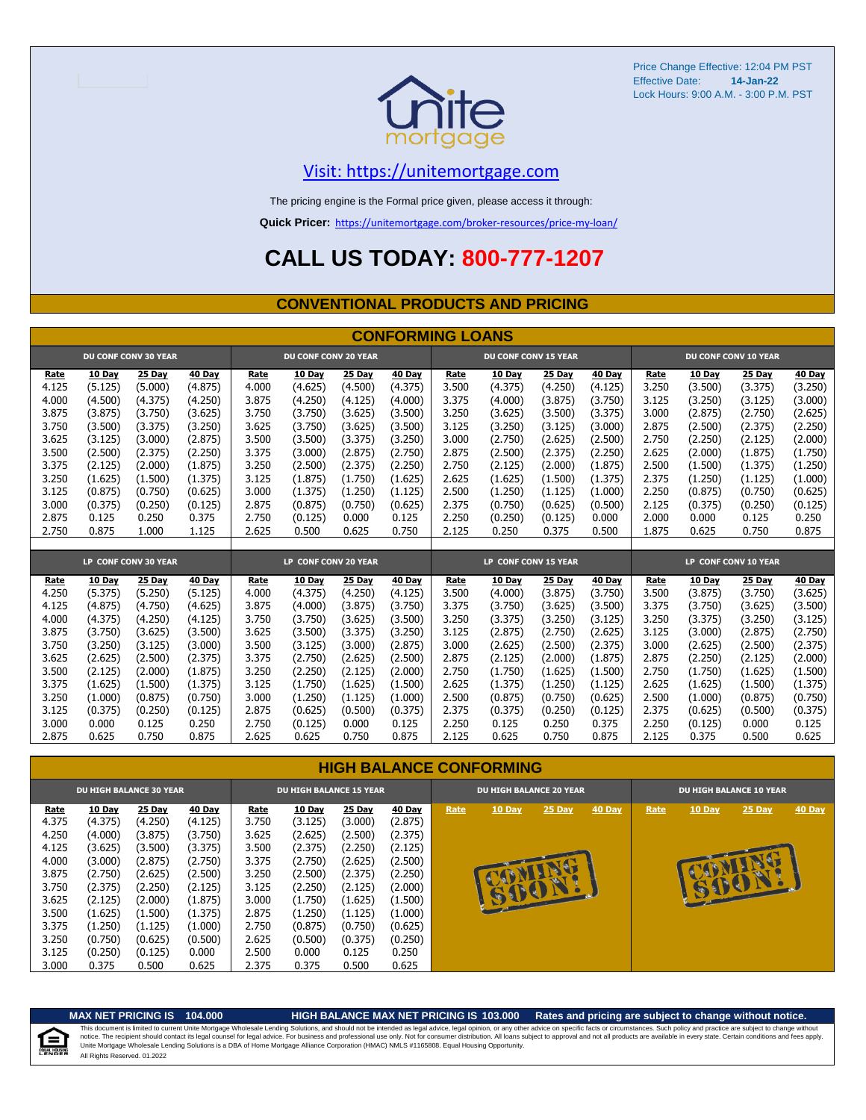

#### [V](https://unitemortgage.com/)isit: https://unitemortgage.com

The pricing engine is the Formal price given, please access it through:

**Quick Pricer:** [https://un](https://unitemortgage.com/broker-resources/price-my-loan/)itemortgage.com/broker-resources/price-my-loan/

### **CALL US TODAY: 800-777-1207**

#### **CONVENTIONAL PRODUCTS AND PRICING**

|       | <b>CONFORMING LOANS</b> |                             |         |                             |                             |         |         |                      |                             |         |         |                      |         |                             |         |
|-------|-------------------------|-----------------------------|---------|-----------------------------|-----------------------------|---------|---------|----------------------|-----------------------------|---------|---------|----------------------|---------|-----------------------------|---------|
|       |                         | <b>DU CONF CONV 30 YEAR</b> |         |                             | <b>DU CONF CONV 20 YEAR</b> |         |         |                      | <b>DU CONF CONV 15 YEAR</b> |         |         |                      |         | <b>DU CONF CONV 10 YEAR</b> |         |
| Rate  | 10 Day                  | 25 Day                      | 40 Day  | Rate                        | 10 Day                      | 25 Day  | 40 Day  | Rate                 | 10 Day                      | 25 Day  | 40 Day  | Rate                 | 10 Day  | 25 Day                      | 40 Day  |
| 4.125 | (5.125)                 | (5.000)                     | (4.875) | 4.000                       | (4.625)                     | (4.500) | (4.375) | 3.500                | (4.375)                     | (4.250) | (4.125) | 3.250                | (3.500) | (3.375)                     | (3.250) |
| 4.000 | (4.500)                 | (4.375)                     | (4.250) | 3.875                       | (4.250)                     | (4.125) | (4.000) | 3.375                | (4.000)                     | (3.875) | (3.750) | 3.125                | (3.250) | (3.125)                     | (3.000) |
| 3.875 | (3.875)                 | (3.750)                     | (3.625) | 3.750                       | (3.750)                     | (3.625) | (3.500) | 3.250                | (3.625)                     | (3.500) | (3.375) | 3.000                | (2.875) | (2.750)                     | (2.625) |
| 3.750 | (3.500)                 | (3.375)                     | (3.250) | 3.625                       | (3.750)                     | (3.625) | (3.500) | 3.125                | (3.250)                     | (3.125) | (3.000) | 2.875                | (2.500) | (2.375)                     | (2.250) |
| 3.625 | (3.125)                 | (3.000)                     | (2.875) | 3.500                       | (3.500)                     | (3.375) | (3.250) | 3.000                | (2.750)                     | (2.625) | (2.500) | 2.750                | (2.250) | (2.125)                     | (2.000) |
| 3.500 | (2.500)                 | (2.375)                     | (2.250) | 3.375                       | (3.000)                     | (2.875) | (2.750) | 2.875                | (2.500)                     | (2.375) | (2.250) | 2.625                | (2.000) | (1.875)                     | (1.750) |
| 3.375 | (2.125)                 | (2.000)                     | (1.875) | 3.250                       | (2.500)                     | (2.375) | (2.250) | 2.750                | (2.125)                     | (2.000) | (1.875) | 2.500                | (1.500) | (1.375)                     | (1.250) |
| 3.250 | (1.625)                 | (1.500)                     | (1.375) | 3.125                       | (1.875)                     | (1.750) | (1.625) | 2.625                | (1.625)                     | (1.500) | (1.375) | 2.375                | (1.250) | (1.125)                     | (1.000) |
| 3.125 | (0.875)                 | (0.750)                     | (0.625) | 3.000                       | (1.375)                     | (1.250) | (1.125) | 2.500                | (1.250)                     | (1.125) | (1.000) | 2.250                | (0.875) | (0.750)                     | (0.625) |
| 3.000 | (0.375)                 | (0.250)                     | (0.125) | 2.875                       | (0.875)                     | (0.750) | (0.625) | 2.375                | (0.750)                     | (0.625) | (0.500) | 2.125                | (0.375) | (0.250)                     | (0.125) |
| 2.875 | 0.125                   | 0.250                       | 0.375   | 2.750                       | (0.125)                     | 0.000   | 0.125   | 2.250                | (0.250)                     | (0.125) | 0.000   | 2.000                | 0.000   | 0.125                       | 0.250   |
| 2.750 | 0.875                   | 1.000                       | 1.125   | 2.625                       | 0.500                       | 0.625   | 0.750   | 2.125                | 0.250                       | 0.375   | 0.500   | 1.875                | 0.625   | 0.750                       | 0.875   |
|       |                         |                             |         |                             |                             |         |         |                      |                             |         |         |                      |         |                             |         |
|       |                         | LP CONF CONV 30 YEAR        |         | <b>LP CONF CONV 20 YEAR</b> |                             |         |         | LP CONF CONV 15 YEAR |                             |         |         | LP CONF CONV 10 YEAR |         |                             |         |
| Rate  | 10 Day                  | 25 Day                      | 40 Day  | Rate                        | 10 Day                      | 25 Day  | 40 Day  | Rate                 | 10 Day                      | 25 Day  | 40 Day  | Rate                 | 10 Day  | 25 Day                      | 40 Day  |
| 4.250 | (5.375)                 | (5.250)                     | (5.125) | 4.000                       | (4.375)                     | (4.250) | (4.125) | 3.500                | (4.000)                     | (3.875) | (3.750) | 3.500                | (3.875) | (3.750)                     | (3.625) |
| 4.125 | (4.875)                 | (4.750)                     | (4.625) | 3.875                       | (4.000)                     | (3.875) | (3.750) | 3.375                | (3.750)                     | (3.625) | (3.500) | 3.375                | (3.750) | (3.625)                     | (3.500) |
| 4.000 | (4.375)                 | (4.250)                     | (4.125) | 3.750                       | (3.750)                     | (3.625) | (3.500) | 3.250                | (3.375)                     | (3.250) | (3.125) | 3.250                | (3.375) | (3.250)                     | (3.125) |
| 3.875 | (3.750)                 | (3.625)                     | (3.500) | 3.625                       | (3.500)                     | (3.375) | (3.250) | 3.125                | (2.875)                     | (2.750) | (2.625) | 3.125                | (3.000) | (2.875)                     | (2.750) |
| 3.750 | (3.250)                 | (3.125)                     | (3.000) | 3.500                       | (3.125)                     | (3.000) | (2.875) | 3.000                | (2.625)                     | (2.500) | (2.375) | 3.000                | (2.625) | (2.500)                     | (2.375) |
| 3.625 | (2.625)                 | (2.500)                     | (2.375) | 3.375                       | (2.750)                     | (2.625) | (2.500) | 2.875                | (2.125)                     | (2.000) | (1.875) | 2.875                | (2.250) | (2.125)                     | (2.000) |
| 3.500 | (2.125)                 | (2.000)                     | (1.875) | 3.250                       | (2.250)                     | (2.125) | (2.000) | 2.750                | (1.750)                     | (1.625) | (1.500) | 2.750                | (1.750) | (1.625)                     | (1.500) |
| 3.375 | (1.625)                 | (1.500)                     | (1.375) | 3.125                       | (1.750)                     | (1.625) | (1.500) | 2.625                | (1.375)                     | (1.250) | (1.125) | 2.625                | (1.625) | (1.500)                     | (1.375) |
| 3.250 | (1.000)                 | (0.875)                     | (0.750) | 3.000                       | (1.250)                     | (1.125) | (1.000) | 2.500                | (0.875)                     | (0.750) | (0.625) | 2.500                | (1.000) | (0.875)                     | (0.750) |
| 3.125 | (0.375)                 | (0.250)                     | (0.125) | 2.875                       | (0.625)                     | (0.500) | (0.375) | 2.375                | (0.375)                     | (0.250) | (0.125) | 2.375                | (0.625) | (0.500)                     | (0.375) |
| 3.000 | 0.000                   | 0.125                       | 0.250   | 2.750                       | (0.125)                     | 0.000   | 0.125   | 2.250                | 0.125                       | 0.250   | 0.375   | 2.250                | (0.125) | 0.000                       | 0.125   |
| 2.875 | 0.625                   | 0.750                       | 0.875   | 2.625                       | 0.625                       | 0.750   | 0.875   | 2.125                | 0.625                       | 0.750   | 0.875   | 2.125                | 0.375   | 0.500                       | 0.625   |

#### **HIGH BALANCE CONFORMING**

|       | <b>DU HIGH BALANCE 30 YEAR</b> |         |         | <b>DU HIGH BALANCE 15 YEAR</b> |               |         |               |      | <b>DU HIGH BALANCE 20 YEAR</b> |               |        |      | <b>DU HIGH BALANCE 10 YEAR</b> |          |               |  |  |
|-------|--------------------------------|---------|---------|--------------------------------|---------------|---------|---------------|------|--------------------------------|---------------|--------|------|--------------------------------|----------|---------------|--|--|
| Rate  | 10 Day                         | 25 Day  | 40 Day  | Rate                           | <b>10 Day</b> | 25 Day  | <b>40 Day</b> | Rate | <b>10 Day</b>                  | <b>25 Day</b> | 40 Day | Rate | <b>10 Day</b>                  | $25$ Day | <b>40 Day</b> |  |  |
| 4.375 | (4.375)                        | (4.250) | (4.125) | 3.750                          | (3.125)       | (3.000) | (2.875)       |      |                                |               |        |      |                                |          |               |  |  |
| 4.250 | (4.000)                        | (3.875) | (3.750) | 3.625                          | (2.625)       | (2.500) | (2.375)       |      |                                |               |        |      |                                |          |               |  |  |
| 4.125 | (3.625)                        | (3.500) | (3.375) | 3.500                          | (2.375)       | (2.250) | (2.125)       |      |                                |               |        |      |                                |          |               |  |  |
| 4.000 | (3.000)                        | (2.875) | (2.750) | 3.375                          | (2.750)       | (2.625) | (2.500)       |      |                                |               |        |      |                                |          |               |  |  |
| 3.875 | (2.750)                        | (2.625) | (2.500) | 3.250                          | (2.500)       | (2.375) | (2.250)       |      |                                |               |        |      |                                |          |               |  |  |
| 3.750 | (2.375)                        | (2.250) | (2.125) | 3.125                          | (2.250)       | (2.125) | (2.000)       |      |                                |               |        |      | B                              | E        |               |  |  |
| 3.625 | (2.125)                        | (2.000) | (1.875) | 3.000                          | (1.750)       | (1.625) | (1.500)       |      | <b>SUCH</b>                    |               |        |      |                                |          |               |  |  |
| 3.500 | (1.625)                        | (1.500) | (1.375) | 2.875                          | (1.250)       | (1.125) | (1.000)       |      |                                |               |        |      |                                |          |               |  |  |
| 3.375 | (1.250)                        | (1.125) | (1.000) | 2.750                          | (0.875)       | (0.750) | (0.625)       |      |                                |               |        |      |                                |          |               |  |  |
| 3.250 | (0.750)                        | (0.625) | (0.500) | 2.625                          | (0.500)       | (0.375) | (0.250)       |      |                                |               |        |      |                                |          |               |  |  |
| 3.125 | (0.250)                        | (0.125) | 0.000   | 2.500                          | 0.000         | 0.125   | 0.250         |      |                                |               |        |      |                                |          |               |  |  |
| 3.000 | 0.375                          | 0.500   | 0.625   | 2.375                          | 0.375         | 0.500   | 0.625         |      |                                |               |        |      |                                |          |               |  |  |

#### **MAX NET PRICING IS 104.000 HIGH BALANCE MAX NET PRICING IS 103.000 Rates and pricing are subject to change without notice.**

All Rights Reserved. 01.2022 This document is limited to current Unite Mortgage Wholesale Lending Solutions, and should not be intended as legal advice, legal opinion, or any other advice on specific facts or circumstances. Such policy and practice ar

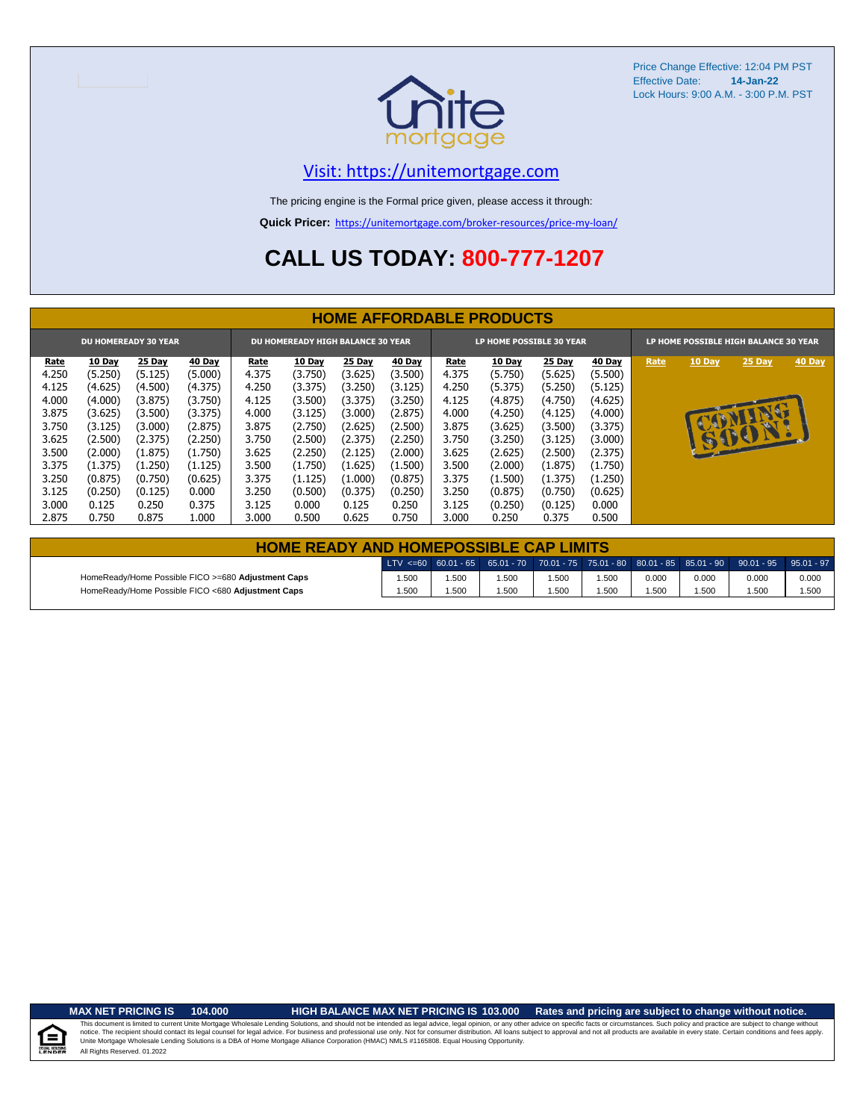

#### [V](https://unitemortgage.com/)isit: https://unitemortgage.com

The pricing engine is the Formal price given, please access it through:

**Quick Pricer:** [https://un](https://unitemortgage.com/broker-resources/price-my-loan/)itemortgage.com/broker-resources/price-my-loan/

### **CALL US TODAY: 800-777-1207**

|                             | <b>HOME AFFORDABLE PRODUCTS</b> |         |               |       |                                          |         |               |       |                          |          |               |      |               |                                       |        |
|-----------------------------|---------------------------------|---------|---------------|-------|------------------------------------------|---------|---------------|-------|--------------------------|----------|---------------|------|---------------|---------------------------------------|--------|
| <b>DU HOMEREADY 30 YEAR</b> |                                 |         |               |       | <b>DU HOMEREADY HIGH BALANCE 30 YEAR</b> |         |               |       | LP HOME POSSIBLE 30 YEAR |          |               |      |               | LP HOME POSSIBLE HIGH BALANCE 30 YEAR |        |
| <u>Rate</u>                 | <b>10 Day</b>                   | 25 Day  | <b>40 Day</b> | Rate  | <b>10 Day</b>                            | 25 Day  | <b>40 Day</b> | Rate  | 10 Day                   | $25$ Day | <b>40 Day</b> | Rate | <b>10 Day</b> | $25$ Day                              | 40 Day |
| 4.250                       | (5.250)                         | (5.125) | (5.000)       | 4.375 | (3.750)                                  | (3.625) | (3.500)       | 4.375 | (5.750)                  | (5.625)  | (5.500)       |      |               |                                       |        |
| 4.125                       | (4.625)                         | (4.500) | (4.375)       | 4.250 | (3.375)                                  | (3.250) | (3.125)       | 4.250 | (5.375)                  | (5.250)  | (5.125)       |      |               |                                       |        |
| 4.000                       | (4.000)                         | (3.875) | (3.750)       | 4.125 | (3.500)                                  | (3.375) | (3.250)       | 4.125 | (4.875)                  | (4.750)  | (4.625)       |      |               |                                       |        |
| 3.875                       | (3.625)                         | (3.500) | (3.375)       | 4.000 | (3.125)                                  | (3.000) | (2.875)       | 4.000 | (4.250)                  | (4.125)  | (4.000)       |      |               | NU                                    |        |
| 3.750                       | (3.125)                         | (3.000) | (2.875)       | 3.875 | (2.750)                                  | (2.625) | (2.500)       | 3.875 | (3.625)                  | (3.500)  | (3.375)       |      | <b>AP</b>     |                                       |        |
| 3.625                       | (2.500)                         | (2.375) | (2.250)       | 3.750 | (2.500)                                  | (2.375) | (2.250)       | 3.750 | (3.250)                  | (3.125)  | (3.000)       |      |               | 15001.                                |        |
| 3.500                       | (2.000)                         | (1.875) | (1.750)       | 3.625 | (2.250)                                  | (2.125) | (2.000)       | 3.625 | (2.625)                  | (2.500)  | (2.375)       |      |               |                                       |        |
| 3.375                       | (1.375)                         | (1.250) | (1.125)       | 3.500 | (1.750)                                  | (1.625) | (1.500)       | 3.500 | (2.000)                  | (1.875)  | (1.750)       |      |               |                                       |        |
| 3.250                       | (0.875)                         | (0.750) | (0.625)       | 3.375 | (1.125)                                  | (1.000) | (0.875)       | 3.375 | (1.500)                  | (1.375)  | (1.250)       |      |               |                                       |        |
| 3.125                       | (0.250)                         | (0.125) | 0.000         | 3.250 | (0.500)                                  | (0.375) | (0.250)       | 3.250 | (0.875)                  | (0.750)  | (0.625)       |      |               |                                       |        |
| 3.000                       | 0.125                           | 0.250   | 0.375         | 3.125 | 0.000                                    | 0.125   | 0.250         | 3.125 | (0.250)                  | (0.125)  | 0.000         |      |               |                                       |        |
| 2.875                       | 0.750                           | 0.875   | 1.000         | 3.000 | 0.500                                    | 0.625   | 0.750         | 3.000 | 0.250                    | 0.375    | 0.500         |      |               |                                       |        |

| <b>HOME READY AND HOMEPOSSIBLE CAP LIMITS</b>      |       |      |       |      |      |       |       |                                                                                                  |       |  |  |  |
|----------------------------------------------------|-------|------|-------|------|------|-------|-------|--------------------------------------------------------------------------------------------------|-------|--|--|--|
|                                                    |       |      |       |      |      |       |       | LTV <=60 60.01 - 65 65.01 - 70 70.01 - 75 75.01 - 80 80.01 - 85 85.01 - 90 90.01 - 95 95.01 - 97 |       |  |  |  |
| HomeReady/Home Possible FICO >=680 Adjustment Caps | 1.500 | .500 | .500  | .500 | .500 | 0.000 | 0.000 | 0.000                                                                                            | 0.000 |  |  |  |
| HomeReady/Home Possible FICO <680 Adjustment Caps  | 1.500 | .500 | 1.500 | .500 | .500 | .500  | 1.500 | 1.500                                                                                            | 1.500 |  |  |  |

.<br>N. Hou

**MAX NET PRICING IS 104.000 HIGH BALANCE MAX NET PRICING IS 103.000 Rates and pricing are subject to change without notice.**

All Rights Reserved. 01.2022 This document is limited to current Unite Mortgage Wholesale Lending Solutions, and should not be intended as legal advice, legal opinion, or any other advice on specific facts or circumstances. Such policy and practice ar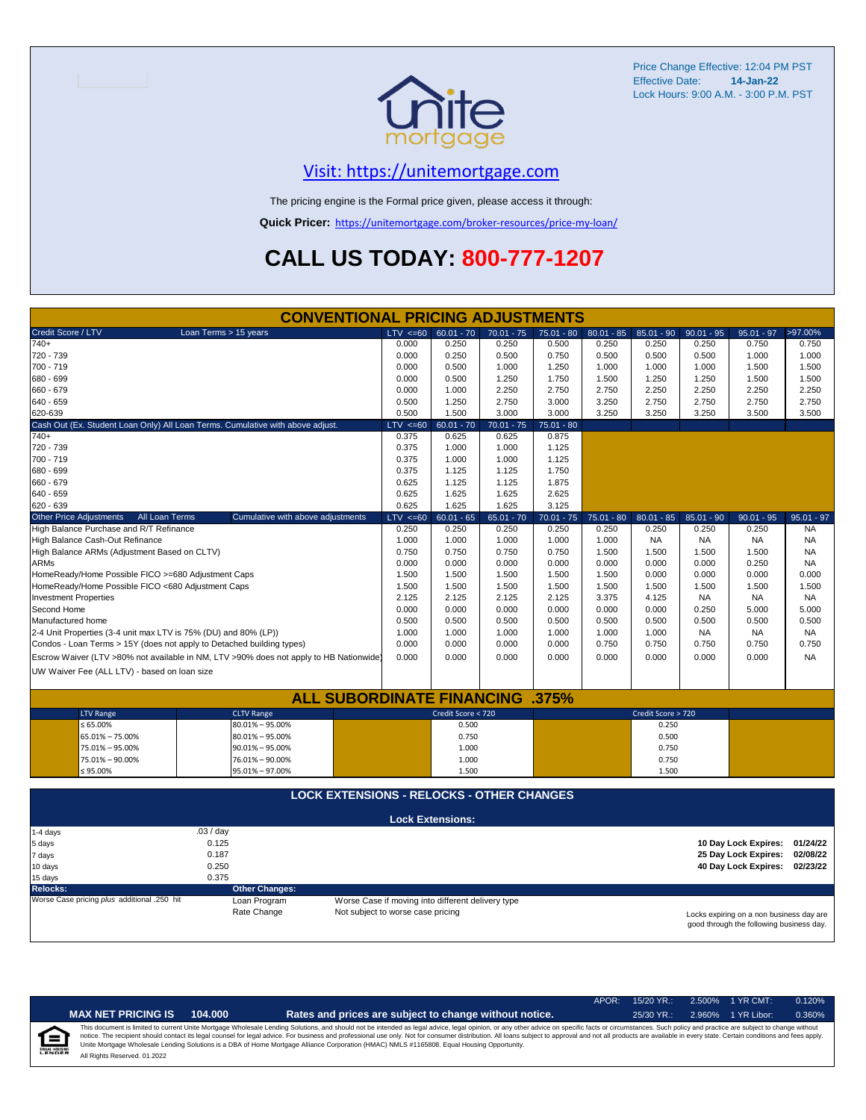

### [V](https://unitemortgage.com/)isit: https://unitemortgage.com

The pricing engine is the Formal price given, please access it through:

**Quick Pricer:** [https://un](https://unitemortgage.com/broker-resources/price-my-loan/)itemortgage.com/broker-resources/price-my-loan/

## **CALL US TODAY: 800-777-1207**

| <b>CONVENTIONAL PRICING ADJUSTMENTS</b>                     |                                                                                |                       |                                                                                        |              |                                                                               |              |              |              |                    |              |                      |              |
|-------------------------------------------------------------|--------------------------------------------------------------------------------|-----------------------|----------------------------------------------------------------------------------------|--------------|-------------------------------------------------------------------------------|--------------|--------------|--------------|--------------------|--------------|----------------------|--------------|
| Credit Score / LTV                                          |                                                                                | Loan Terms > 15 years |                                                                                        | $LTV \le 60$ | $60.01 - 70$                                                                  | $70.01 - 75$ | 75.01 - 80   | $80.01 - 85$ | 85.01 - 90         | $90.01 - 95$ | $95.01 - 97$         | >97.00%      |
| 740+                                                        |                                                                                |                       |                                                                                        | 0.000        | 0.250                                                                         | 0.250        | 0.500        | 0.250        | 0.250              | 0.250        | 0.750                | 0.750        |
| 720 - 739                                                   |                                                                                |                       |                                                                                        | 0.000        | 0.250                                                                         | 0.500        | 0.750        | 0.500        | 0.500              | 0.500        | 1.000                | 1.000        |
| 700 - 719                                                   |                                                                                |                       |                                                                                        | 0.000        | 0.500                                                                         | 1.000        | 1.250        | 1.000        | 1.000              | 1.000        | 1.500                | 1.500        |
| 680 - 699                                                   |                                                                                |                       |                                                                                        | 0.000        | 0.500                                                                         | 1.250        | 1.750        | 1.500        | 1.250              | 1.250        | 1.500                | 1.500        |
| 660 - 679                                                   |                                                                                |                       |                                                                                        | 0.000        | 1.000                                                                         | 2.250        | 2.750        | 2.750        | 2.250              | 2.250        | 2.250                | 2.250        |
| 640 - 659                                                   |                                                                                |                       |                                                                                        | 0.500        | 1.250                                                                         | 2.750        | 3.000        | 3.250        | 2.750              | 2.750        | 2.750                | 2.750        |
| 620-639                                                     |                                                                                |                       |                                                                                        | 0.500        | 1.500                                                                         | 3.000        | 3.000        | 3.250        | 3.250              | 3.250        | 3.500                | 3.500        |
|                                                             | Cash Out (Ex. Student Loan Only) All Loan Terms. Cumulative with above adjust. | $LTV \le 60$          | $60.01 - 70$                                                                           | $70.01 - 75$ | $75.01 - 80$                                                                  |              |              |              |                    |              |                      |              |
| $740+$                                                      |                                                                                |                       |                                                                                        | 0.375        | 0.625                                                                         | 0.625        | 0.875        |              |                    |              |                      |              |
| 720 - 739                                                   |                                                                                | 0.375                 | 1.000                                                                                  | 1.000        | 1.125                                                                         |              |              |              |                    |              |                      |              |
| 700 - 719                                                   |                                                                                | 0.375                 | 1.000                                                                                  | 1.000        | 1.125                                                                         |              |              |              |                    |              |                      |              |
| 680 - 699                                                   |                                                                                | 0.375                 | 1.125                                                                                  | 1.125        | 1.750                                                                         |              |              |              |                    |              |                      |              |
| 660 - 679                                                   |                                                                                | 0.625                 | 1.125                                                                                  | 1.125        | 1.875                                                                         |              |              |              |                    |              |                      |              |
| 640 - 659                                                   |                                                                                | 0.625                 | 1.625                                                                                  | 1.625        | 2.625                                                                         |              |              |              |                    |              |                      |              |
| 620 - 639                                                   |                                                                                | 0.625                 | 1.625                                                                                  | 1.625        | 3.125                                                                         |              |              |              |                    |              |                      |              |
| <b>Other Price Adjustments</b>                              | All Loan Terms                                                                 |                       | Cumulative with above adjustments                                                      | $LTV < =60$  | $60.01 - 65$                                                                  | $65.01 - 70$ | $70.01 - 75$ | $75.01 - 80$ | $80.01 - 85$       | $85.01 - 90$ | $90.01 - 95$         | $95.01 - 97$ |
|                                                             | High Balance Purchase and R/T Refinance                                        |                       |                                                                                        | 0.250        | 0.250                                                                         | 0.250        | 0.250        | 0.250        | 0.250              | 0.250        | 0.250                | <b>NA</b>    |
|                                                             | High Balance Cash-Out Refinance                                                |                       |                                                                                        | 1.000        | 1.000                                                                         | 1.000        | 1.000        | 1.000        | <b>NA</b>          | <b>NA</b>    | <b>NA</b>            | <b>NA</b>    |
|                                                             | High Balance ARMs (Adjustment Based on CLTV)                                   |                       |                                                                                        | 0.750        | 0.750                                                                         | 0.750        | 0.750        | 1.500        | 1.500              | 1.500        | 1.500                | <b>NA</b>    |
| <b>ARMs</b>                                                 |                                                                                |                       |                                                                                        | 0.000        | 0.000                                                                         | 0.000        | 0.000        | 0.000        | 0.000              | 0.000        | 0.250                | <b>NA</b>    |
|                                                             | HomeReady/Home Possible FICO >=680 Adjustment Caps                             |                       |                                                                                        | 1.500        | 1.500                                                                         | 1.500        | 1.500        | 1.500        | 0.000              | 0.000        | 0.000                | 0.000        |
|                                                             | HomeReady/Home Possible FICO <680 Adjustment Caps                              |                       |                                                                                        | 1.500        | 1.500                                                                         | 1.500        | 1.500        | 1.500        | 1.500              | 1.500        | 1.500                | 1.500        |
| <b>Investment Properties</b>                                |                                                                                |                       |                                                                                        | 2.125        | 2.125                                                                         | 2.125        | 2.125        | 3.375        | 4.125              | <b>NA</b>    | <b>NA</b>            | <b>NA</b>    |
| Second Home                                                 |                                                                                |                       |                                                                                        | 0.000        | 0.000                                                                         | 0.000        | 0.000        | 0.000        | 0.000              | 0.250        | 5.000                | 5.000        |
| Manufactured home                                           |                                                                                |                       |                                                                                        | 0.500        | 0.500                                                                         | 0.500        | 0.500        | 0.500        | 0.500              | 0.500        | 0.500                | 0.500        |
|                                                             | 2-4 Unit Properties (3-4 unit max LTV is 75% (DU) and 80% (LP))                |                       |                                                                                        | 1.000        | 1.000                                                                         | 1.000        | 1.000        | 1.000        | 1.000              | <b>NA</b>    | <b>NA</b>            | <b>NA</b>    |
|                                                             | Condos - Loan Terms > 15Y (does not apply to Detached building types)          |                       |                                                                                        | 0.000        | 0.000                                                                         | 0.000        | 0.000        | 0.750        | 0.750              | 0.750        | 0.750                | 0.750        |
|                                                             |                                                                                |                       | Escrow Waiver (LTV >80% not available in NM, LTV >90% does not apply to HB Nationwide) | 0.000        | 0.000                                                                         | 0.000        | 0.000        | 0.000        | 0.000              | 0.000        | 0.000                | <b>NA</b>    |
|                                                             | UW Waiver Fee (ALL LTV) - based on loan size                                   |                       |                                                                                        |              |                                                                               |              |              |              |                    |              |                      |              |
|                                                             |                                                                                |                       |                                                                                        |              |                                                                               |              |              |              |                    |              |                      |              |
|                                                             |                                                                                |                       | <b>ALL SUBORDINATE FINANCING .375%</b>                                                 |              |                                                                               |              |              |              |                    |              |                      |              |
|                                                             | <b>LTV Range</b>                                                               |                       | <b>CLTV Range</b>                                                                      |              | Credit Score < 720                                                            |              |              |              | Credit Score > 720 |              |                      |              |
|                                                             | $\leq 65.00\%$                                                                 |                       | 80.01% - 95.00%                                                                        |              | 0.500                                                                         |              |              |              | 0.250              |              |                      |              |
|                                                             | 65.01% - 75.00%                                                                |                       | $80.01\% - 95.00\%$                                                                    |              | 0.750                                                                         |              |              |              | 0.500              |              |                      |              |
|                                                             | 75.01% - 95.00%                                                                |                       | $90.01\% - 95.00\%$                                                                    |              | 1.000                                                                         |              |              |              | 0.750              |              |                      |              |
|                                                             | 75.01% - 90.00%                                                                |                       | 76.01% - 90.00%                                                                        |              | 1.000                                                                         |              |              |              | 0.750              |              |                      |              |
|                                                             | $\leq 95.00\%$                                                                 |                       | 95.01% - 97.00%                                                                        |              | 1.500                                                                         |              |              |              | 1.500              |              |                      |              |
|                                                             |                                                                                |                       |                                                                                        |              |                                                                               |              |              |              |                    |              |                      |              |
|                                                             |                                                                                |                       | <b>LOCK EXTENSIONS - RELOCKS - OTHER CHANGES</b>                                       |              |                                                                               |              |              |              |                    |              |                      |              |
|                                                             |                                                                                |                       |                                                                                        |              |                                                                               |              |              |              |                    |              |                      |              |
|                                                             |                                                                                |                       |                                                                                        |              | <b>Lock Extensions:</b>                                                       |              |              |              |                    |              |                      |              |
| 1-4 days                                                    |                                                                                | .03 / day             |                                                                                        |              |                                                                               |              |              |              |                    |              |                      |              |
| 5 days                                                      |                                                                                | 0.125                 |                                                                                        |              |                                                                               |              |              |              |                    |              | 10 Day Lock Expires: | 01/24/22     |
| 7 days                                                      |                                                                                | 0.187                 |                                                                                        |              |                                                                               |              |              |              |                    |              | 25 Day Lock Expires: | 02/08/22     |
| 10 days                                                     |                                                                                | 0.250                 |                                                                                        |              |                                                                               |              |              |              |                    |              | 40 Day Lock Expires: | 02/23/22     |
| 15 days                                                     |                                                                                | 0.375                 |                                                                                        |              |                                                                               |              |              |              |                    |              |                      |              |
| <b>Other Changes:</b><br><b>Relocks:</b>                    |                                                                                |                       |                                                                                        |              |                                                                               |              |              |              |                    |              |                      |              |
| Worse Case pricing plus additional .250 hit<br>Loan Program |                                                                                |                       |                                                                                        |              | Worse Case if moving into different delivery type                             |              |              |              |                    |              |                      |              |
| Rate Change                                                 |                                                                                |                       |                                                                                        |              | Not subject to worse case pricing<br>Locks expiring on a non business day are |              |              |              |                    |              |                      |              |

Locks expiring on a non business day are good through the following business day.

|                           |                              |         |                                                                                                                                                                                                                                                                                                                                                                                                                                                                                                                                                                                                                | APOR: | $15/20$ YR.: | 2.500% | $1$ YR CMT: | 0.120% |
|---------------------------|------------------------------|---------|----------------------------------------------------------------------------------------------------------------------------------------------------------------------------------------------------------------------------------------------------------------------------------------------------------------------------------------------------------------------------------------------------------------------------------------------------------------------------------------------------------------------------------------------------------------------------------------------------------------|-------|--------------|--------|-------------|--------|
|                           | <b>MAX NET PRICING IS</b>    | 104.000 | Rates and prices are subject to change without notice.                                                                                                                                                                                                                                                                                                                                                                                                                                                                                                                                                         |       | $25/30$ YR.: | 2.960% | 1 YR Libor: | 0.360% |
| 仺<br><b>EQUAL HOUSING</b> | All Rights Reserved. 01.2022 |         | This document is limited to current Unite Mortgage Wholesale Lending Solutions, and should not be intended as legal advice, legal opinion, or any other advice on specific facts or circumstances. Such policy and practice ar<br>notice. The recipient should contact its legal counsel for legal advice. For business and professional use only. Not for consumer distribution. All loans subject to approval and not all products are available in every stat<br>Unite Mortgage Wholesale Lending Solutions is a DBA of Home Mortgage Alliance Corporation (HMAC) NMLS #1165808. Equal Housing Opportunity. |       |              |        |             |        |